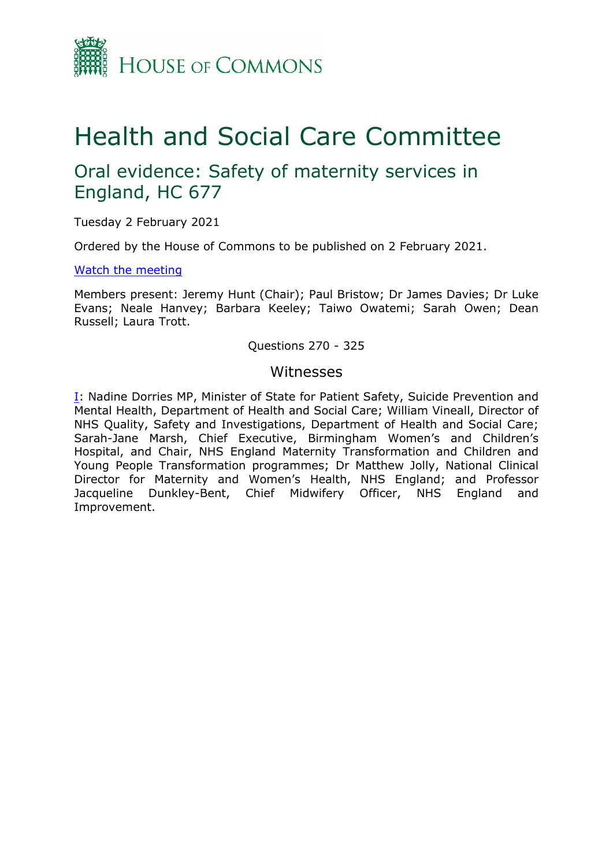

# Health and Social Care Committee

## Oral evidence: Safety of maternity services in England, HC 677

Tuesday 2 February 2021

Ordered by the House of Commons to be published on 2 February 2021.

## [Watch](https://parliamentlive.tv/Event/Index/45639ffa-9806-4ee1-98cc-f9ef70e0de91) [the](https://parliamentlive.tv/Event/Index/45639ffa-9806-4ee1-98cc-f9ef70e0de91) [meeting](https://parliamentlive.tv/Event/Index/45639ffa-9806-4ee1-98cc-f9ef70e0de91)

Members present: Jeremy Hunt (Chair); Paul Bristow; Dr James Davies; Dr Luke Evans; Neale Hanvey; Barbara Keeley; Taiwo Owatemi; Sarah Owen; Dean Russell; Laura Trott.

## Questions 270 - 325

## Witnesses

[I:](#page-1-0) Nadine Dorries MP, Minister of State for Patient Safety, Suicide Prevention and Mental Health, Department of Health and Social Care; William Vineall, Director of NHS Quality, Safety and Investigations, Department of Health and Social Care; Sarah-Jane Marsh, Chief Executive, Birmingham Women's and Children's Hospital, and Chair, NHS England Maternity Transformation and Children and Young People Transformation programmes; Dr Matthew Jolly, National Clinical Director for Maternity and Women's Health, NHS England; and Professor Jacqueline Dunkley-Bent, Chief Midwifery Officer, NHS England and Improvement.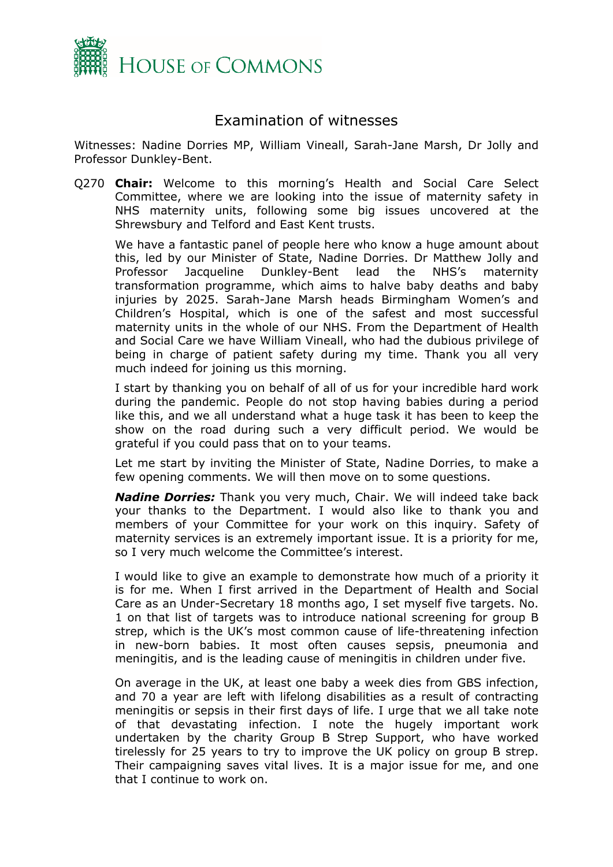

## <span id="page-1-0"></span>Examination of witnesses

Witnesses: Nadine Dorries MP, William Vineall, Sarah-Jane Marsh, Dr Jolly and Professor Dunkley-Bent.

Q270 **Chair:** Welcome to this morning's Health and Social Care Select Committee, where we are looking into the issue of maternity safety in NHS maternity units, following some big issues uncovered at the Shrewsbury and Telford and East Kent trusts.

We have a fantastic panel of people here who know a huge amount about this, led by our Minister of State, Nadine Dorries. Dr Matthew Jolly and Professor Jacqueline Dunkley-Bent lead the NHS's maternity transformation programme, which aims to halve baby deaths and baby injuries by 2025. Sarah-Jane Marsh heads Birmingham Women's and Children's Hospital, which is one of the safest and most successful maternity units in the whole of our NHS. From the Department of Health and Social Care we have William Vineall, who had the dubious privilege of being in charge of patient safety during my time. Thank you all very much indeed for joining us this morning.

I start by thanking you on behalf of all of us for your incredible hard work during the pandemic. People do not stop having babies during a period like this, and we all understand what a huge task it has been to keep the show on the road during such a very difficult period. We would be grateful if you could pass that on to your teams.

Let me start by inviting the Minister of State, Nadine Dorries, to make a few opening comments. We will then move on to some questions.

*Nadine Dorries:* Thank you very much, Chair. We will indeed take back your thanks to the Department. I would also like to thank you and members of your Committee for your work on this inquiry. Safety of maternity services is an extremely important issue. It is a priority for me, so I very much welcome the Committee's interest.

I would like to give an example to demonstrate how much of a priority it is for me. When I first arrived in the Department of Health and Social Care as an Under-Secretary 18 months ago, I set myself five targets. No. 1 on that list of targets was to introduce national screening for group B strep, which is the UK's most common cause of life-threatening infection in new-born babies. It most often causes sepsis, pneumonia and meningitis, and is the leading cause of meningitis in children under five.

On average in the UK, at least one baby a week dies from GBS infection, and 70 a year are left with lifelong disabilities as a result of contracting meningitis or sepsis in their first days of life. I urge that we all take note of that devastating infection. I note the hugely important work undertaken by the charity Group B Strep Support, who have worked tirelessly for 25 years to try to improve the UK policy on group B strep. Their campaigning saves vital lives. It is a major issue for me, and one that I continue to work on.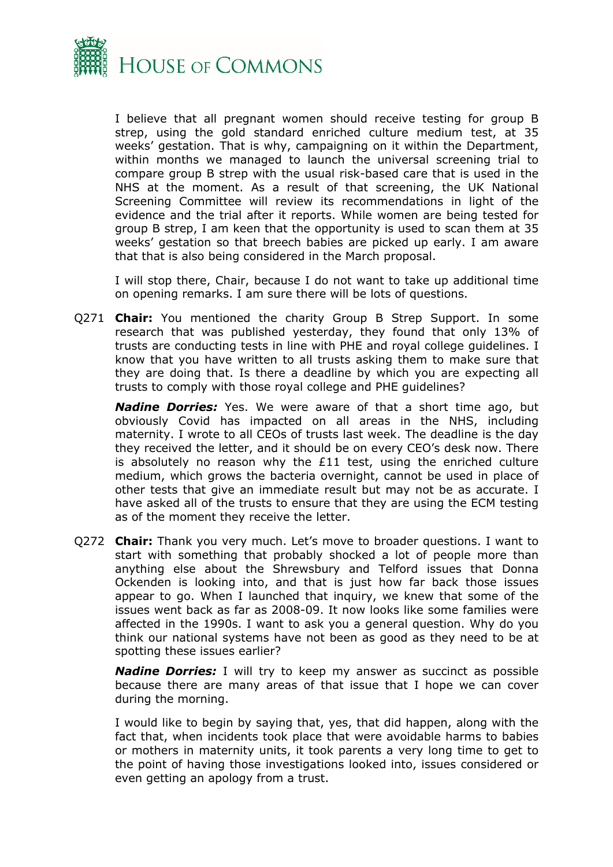

I believe that all pregnant women should receive testing for group B strep, using the gold standard enriched culture medium test, at 35 weeks' gestation. That is why, campaigning on it within the Department, within months we managed to launch the universal screening trial to compare group B strep with the usual risk-based care that is used in the NHS at the moment. As a result of that screening, the UK National Screening Committee will review its recommendations in light of the evidence and the trial after it reports. While women are being tested for group B strep, I am keen that the opportunity is used to scan them at 35 weeks' gestation so that breech babies are picked up early. I am aware that that is also being considered in the March proposal.

I will stop there, Chair, because I do not want to take up additional time on opening remarks. I am sure there will be lots of questions.

Q271 **Chair:** You mentioned the charity Group B Strep Support. In some research that was published yesterday, they found that only 13% of trusts are conducting tests in line with PHE and royal college guidelines. I know that you have written to all trusts asking them to make sure that they are doing that. Is there a deadline by which you are expecting all trusts to comply with those royal college and PHE guidelines?

*Nadine Dorries:* Yes. We were aware of that a short time ago, but obviously Covid has impacted on all areas in the NHS, including maternity. I wrote to all CEOs of trusts last week. The deadline is the day they received the letter, and it should be on every CEO's desk now. There is absolutely no reason why the £11 test, using the enriched culture medium, which grows the bacteria overnight, cannot be used in place of other tests that give an immediate result but may not be as accurate. I have asked all of the trusts to ensure that they are using the ECM testing as of the moment they receive the letter.

Q272 **Chair:** Thank you very much. Let's move to broader questions. I want to start with something that probably shocked a lot of people more than anything else about the Shrewsbury and Telford issues that Donna Ockenden is looking into, and that is just how far back those issues appear to go. When I launched that inquiry, we knew that some of the issues went back as far as 2008-09. It now looks like some families were affected in the 1990s. I want to ask you a general question. Why do you think our national systems have not been as good as they need to be at spotting these issues earlier?

*Nadine Dorries:* I will try to keep my answer as succinct as possible because there are many areas of that issue that I hope we can cover during the morning.

I would like to begin by saying that, yes, that did happen, along with the fact that, when incidents took place that were avoidable harms to babies or mothers in maternity units, it took parents a very long time to get to the point of having those investigations looked into, issues considered or even getting an apology from a trust.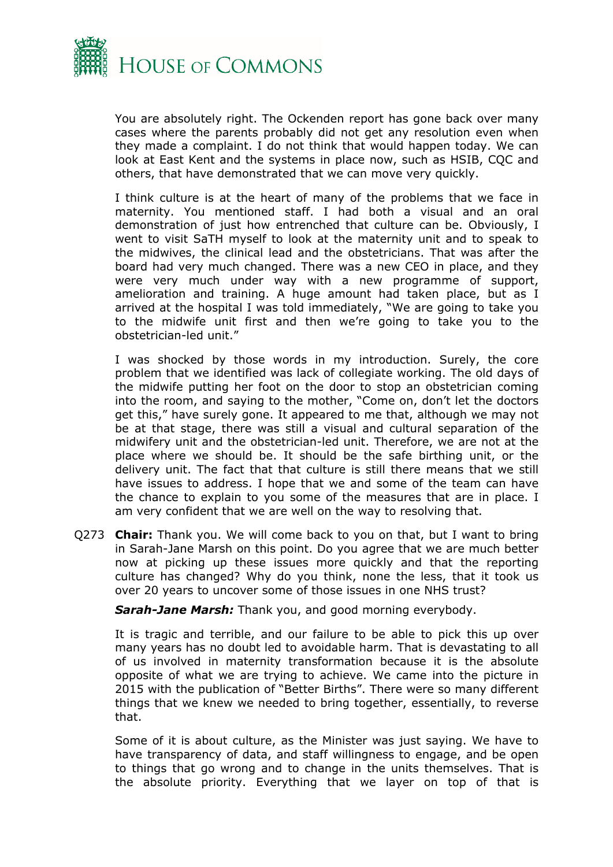

You are absolutely right. The Ockenden report has gone back over many cases where the parents probably did not get any resolution even when they made a complaint. I do not think that would happen today. We can look at East Kent and the systems in place now, such as HSIB, CQC and others, that have demonstrated that we can move very quickly.

I think culture is at the heart of many of the problems that we face in maternity. You mentioned staff. I had both a visual and an oral demonstration of just how entrenched that culture can be. Obviously, I went to visit SaTH myself to look at the maternity unit and to speak to the midwives, the clinical lead and the obstetricians. That was after the board had very much changed. There was a new CEO in place, and they were very much under way with a new programme of support, amelioration and training. A huge amount had taken place, but as I arrived at the hospital I was told immediately, "We are going to take you to the midwife unit first and then we're going to take you to the obstetrician-led unit."

I was shocked by those words in my introduction. Surely, the core problem that we identified was lack of collegiate working. The old days of the midwife putting her foot on the door to stop an obstetrician coming into the room, and saying to the mother, "Come on, don't let the doctors get this," have surely gone. It appeared to me that, although we may not be at that stage, there was still a visual and cultural separation of the midwifery unit and the obstetrician-led unit. Therefore, we are not at the place where we should be. It should be the safe birthing unit, or the delivery unit. The fact that that culture is still there means that we still have issues to address. I hope that we and some of the team can have the chance to explain to you some of the measures that are in place. I am very confident that we are well on the way to resolving that.

Q273 **Chair:** Thank you. We will come back to you on that, but I want to bring in Sarah-Jane Marsh on this point. Do you agree that we are much better now at picking up these issues more quickly and that the reporting culture has changed? Why do you think, none the less, that it took us over 20 years to uncover some of those issues in one NHS trust?

*Sarah-Jane Marsh:* Thank you, and good morning everybody.

It is tragic and terrible, and our failure to be able to pick this up over many years has no doubt led to avoidable harm. That is devastating to all of us involved in maternity transformation because it is the absolute opposite of what we are trying to achieve. We came into the picture in 2015 with the publication of "Better Births". There were so many different things that we knew we needed to bring together, essentially, to reverse that.

Some of it is about culture, as the Minister was just saying. We have to have transparency of data, and staff willingness to engage, and be open to things that go wrong and to change in the units themselves. That is the absolute priority. Everything that we layer on top of that is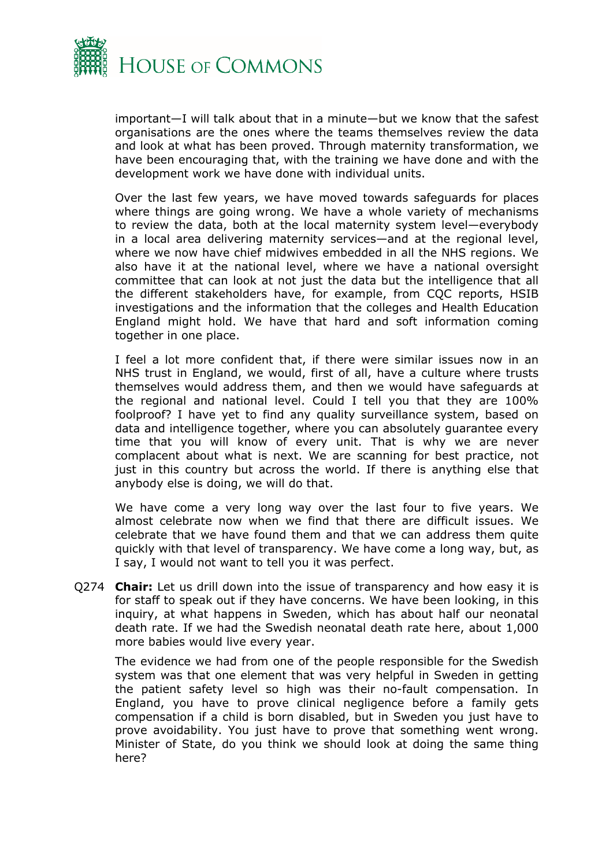

important—I will talk about that in a minute—but we know that the safest organisations are the ones where the teams themselves review the data and look at what has been proved. Through maternity transformation, we have been encouraging that, with the training we have done and with the development work we have done with individual units.

Over the last few years, we have moved towards safeguards for places where things are going wrong. We have a whole variety of mechanisms to review the data, both at the local maternity system level—everybody in a local area delivering maternity services—and at the regional level, where we now have chief midwives embedded in all the NHS regions. We also have it at the national level, where we have a national oversight committee that can look at not just the data but the intelligence that all the different stakeholders have, for example, from CQC reports, HSIB investigations and the information that the colleges and Health Education England might hold. We have that hard and soft information coming together in one place.

I feel a lot more confident that, if there were similar issues now in an NHS trust in England, we would, first of all, have a culture where trusts themselves would address them, and then we would have safeguards at the regional and national level. Could I tell you that they are 100% foolproof? I have yet to find any quality surveillance system, based on data and intelligence together, where you can absolutely guarantee every time that you will know of every unit. That is why we are never complacent about what is next. We are scanning for best practice, not just in this country but across the world. If there is anything else that anybody else is doing, we will do that.

We have come a very long way over the last four to five years. We almost celebrate now when we find that there are difficult issues. We celebrate that we have found them and that we can address them quite quickly with that level of transparency. We have come a long way, but, as I say, I would not want to tell you it was perfect.

Q274 **Chair:** Let us drill down into the issue of transparency and how easy it is for staff to speak out if they have concerns. We have been looking, in this inquiry, at what happens in Sweden, which has about half our neonatal death rate. If we had the Swedish neonatal death rate here, about 1,000 more babies would live every year.

The evidence we had from one of the people responsible for the Swedish system was that one element that was very helpful in Sweden in getting the patient safety level so high was their no-fault compensation. In England, you have to prove clinical negligence before a family gets compensation if a child is born disabled, but in Sweden you just have to prove avoidability. You just have to prove that something went wrong. Minister of State, do you think we should look at doing the same thing here?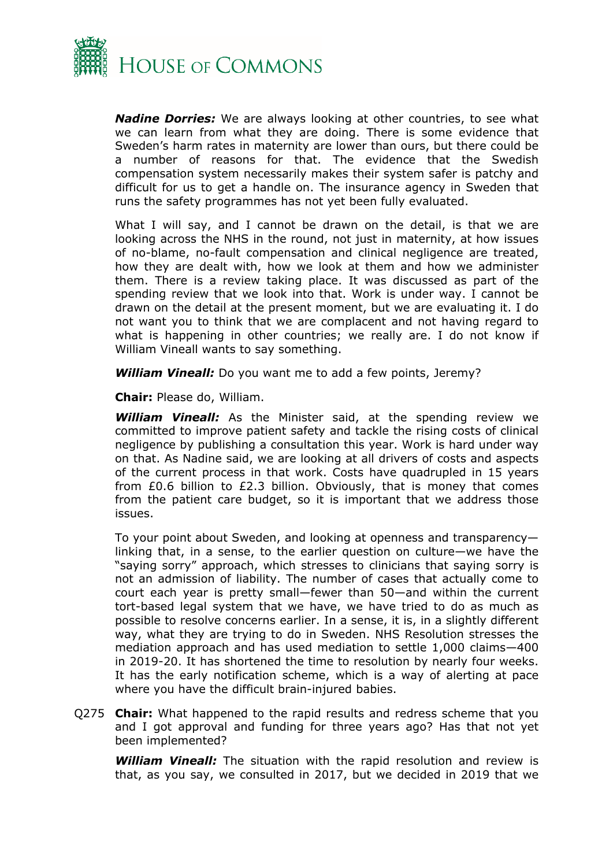

*Nadine Dorries:* We are always looking at other countries, to see what we can learn from what they are doing. There is some evidence that Sweden's harm rates in maternity are lower than ours, but there could be a number of reasons for that. The evidence that the Swedish compensation system necessarily makes their system safer is patchy and difficult for us to get a handle on. The insurance agency in Sweden that runs the safety programmes has not yet been fully evaluated.

What I will say, and I cannot be drawn on the detail, is that we are looking across the NHS in the round, not just in maternity, at how issues of no-blame, no-fault compensation and clinical negligence are treated, how they are dealt with, how we look at them and how we administer them. There is a review taking place. It was discussed as part of the spending review that we look into that. Work is under way. I cannot be drawn on the detail at the present moment, but we are evaluating it. I do not want you to think that we are complacent and not having regard to what is happening in other countries; we really are. I do not know if William Vineall wants to say something.

*William Vineall:* Do you want me to add a few points, Jeremy?

**Chair:** Please do, William.

*William Vineall:* As the Minister said, at the spending review we committed to improve patient safety and tackle the rising costs of clinical negligence by publishing a consultation this year. Work is hard under way on that. As Nadine said, we are looking at all drivers of costs and aspects of the current process in that work. Costs have quadrupled in 15 years from £0.6 billion to £2.3 billion. Obviously, that is money that comes from the patient care budget, so it is important that we address those issues.

To your point about Sweden, and looking at openness and transparency linking that, in a sense, to the earlier question on culture—we have the "saying sorry" approach, which stresses to clinicians that saying sorry is not an admission of liability. The number of cases that actually come to court each year is pretty small—fewer than 50—and within the current tort-based legal system that we have, we have tried to do as much as possible to resolve concerns earlier. In a sense, it is, in a slightly different way, what they are trying to do in Sweden. NHS Resolution stresses the mediation approach and has used mediation to settle 1,000 claims—400 in 2019-20. It has shortened the time to resolution by nearly four weeks. It has the early notification scheme, which is a way of alerting at pace where you have the difficult brain-injured babies.

Q275 **Chair:** What happened to the rapid results and redress scheme that you and I got approval and funding for three years ago? Has that not yet been implemented?

*William Vineall:* The situation with the rapid resolution and review is that, as you say, we consulted in 2017, but we decided in 2019 that we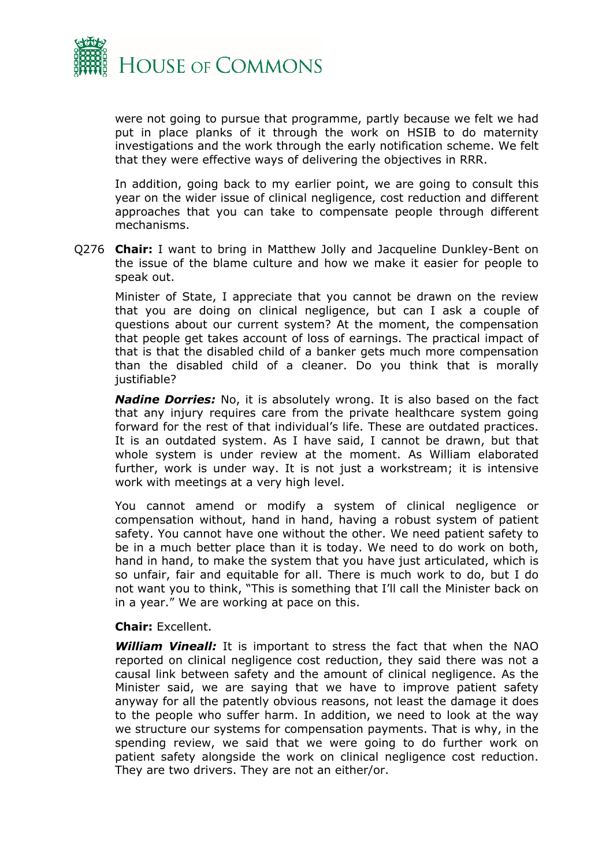

were not going to pursue that programme, partly because we felt we had put in place planks of it through the work on HSIB to do maternity investigations and the work through the early notification scheme. We felt that they were effective ways of delivering the objectives in RRR.

In addition, going back to my earlier point, we are going to consult this year on the wider issue of clinical negligence, cost reduction and different approaches that you can take to compensate people through different mechanisms.

Q276 **Chair:** I want to bring in Matthew Jolly and Jacqueline Dunkley-Bent on the issue of the blame culture and how we make it easier for people to speak out.

Minister of State, I appreciate that you cannot be drawn on the review that you are doing on clinical negligence, but can I ask a couple of questions about our current system? At the moment, the compensation that people get takes account of loss of earnings. The practical impact of that is that the disabled child of a banker gets much more compensation than the disabled child of a cleaner. Do you think that is morally justifiable?

*Nadine Dorries:* No, it is absolutely wrong. It is also based on the fact that any injury requires care from the private healthcare system going forward for the rest of that individual's life. These are outdated practices. It is an outdated system. As I have said, I cannot be drawn, but that whole system is under review at the moment. As William elaborated further, work is under way. It is not just a workstream; it is intensive work with meetings at a very high level.

You cannot amend or modify a system of clinical negligence or compensation without, hand in hand, having a robust system of patient safety. You cannot have one without the other. We need patient safety to be in a much better place than it is today. We need to do work on both, hand in hand, to make the system that you have just articulated, which is so unfair, fair and equitable for all. There is much work to do, but I do not want you to think, "This is something that I'll call the Minister back on in a year." We are working at pace on this.

### **Chair:** Excellent.

*William Vineall:* It is important to stress the fact that when the NAO reported on clinical negligence cost reduction, they said there was not a causal link between safety and the amount of clinical negligence. As the Minister said, we are saying that we have to improve patient safety anyway for all the patently obvious reasons, not least the damage it does to the people who suffer harm. In addition, we need to look at the way we structure our systems for compensation payments. That is why, in the spending review, we said that we were going to do further work on patient safety alongside the work on clinical negligence cost reduction. They are two drivers. They are not an either/or.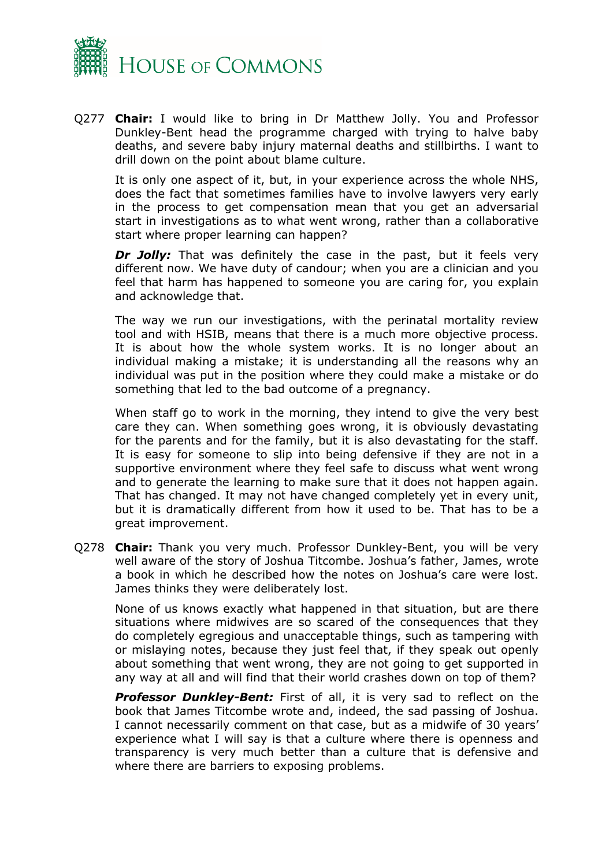

Q277 **Chair:** I would like to bring in Dr Matthew Jolly. You and Professor Dunkley-Bent head the programme charged with trying to halve baby deaths, and severe baby injury maternal deaths and stillbirths. I want to drill down on the point about blame culture.

It is only one aspect of it, but, in your experience across the whole NHS, does the fact that sometimes families have to involve lawyers very early in the process to get compensation mean that you get an adversarial start in investigations as to what went wrong, rather than a collaborative start where proper learning can happen?

**Dr Jolly:** That was definitely the case in the past, but it feels very different now. We have duty of candour; when you are a clinician and you feel that harm has happened to someone you are caring for, you explain and acknowledge that.

The way we run our investigations, with the perinatal mortality review tool and with HSIB, means that there is a much more objective process. It is about how the whole system works. It is no longer about an individual making a mistake; it is understanding all the reasons why an individual was put in the position where they could make a mistake or do something that led to the bad outcome of a pregnancy.

When staff go to work in the morning, they intend to give the very best care they can. When something goes wrong, it is obviously devastating for the parents and for the family, but it is also devastating for the staff. It is easy for someone to slip into being defensive if they are not in a supportive environment where they feel safe to discuss what went wrong and to generate the learning to make sure that it does not happen again. That has changed. It may not have changed completely yet in every unit, but it is dramatically different from how it used to be. That has to be a great improvement.

Q278 **Chair:** Thank you very much. Professor Dunkley-Bent, you will be very well aware of the story of Joshua Titcombe. Joshua's father, James, wrote a book in which he described how the notes on Joshua's care were lost. James thinks they were deliberately lost.

None of us knows exactly what happened in that situation, but are there situations where midwives are so scared of the consequences that they do completely egregious and unacceptable things, such as tampering with or mislaying notes, because they just feel that, if they speak out openly about something that went wrong, they are not going to get supported in any way at all and will find that their world crashes down on top of them?

*Professor Dunkley-Bent:* First of all, it is very sad to reflect on the book that James Titcombe wrote and, indeed, the sad passing of Joshua. I cannot necessarily comment on that case, but as a midwife of 30 years' experience what I will say is that a culture where there is openness and transparency is very much better than a culture that is defensive and where there are barriers to exposing problems.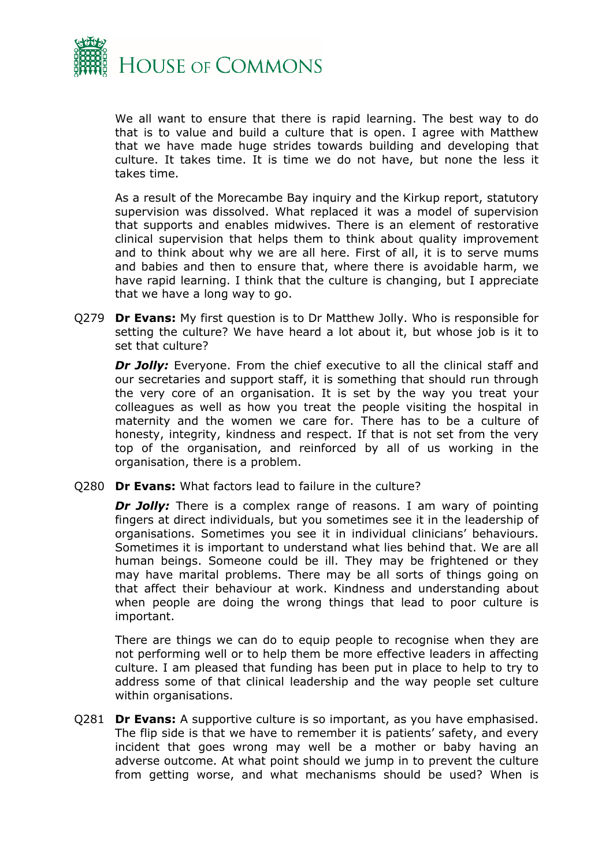

We all want to ensure that there is rapid learning. The best way to do that is to value and build a culture that is open. I agree with Matthew that we have made huge strides towards building and developing that culture. It takes time. It is time we do not have, but none the less it takes time.

As a result of the Morecambe Bay inquiry and the Kirkup report, statutory supervision was dissolved. What replaced it was a model of supervision that supports and enables midwives. There is an element of restorative clinical supervision that helps them to think about quality improvement and to think about why we are all here. First of all, it is to serve mums and babies and then to ensure that, where there is avoidable harm, we have rapid learning. I think that the culture is changing, but I appreciate that we have a long way to go.

Q279 **Dr Evans:** My first question is to Dr Matthew Jolly. Who is responsible for setting the culture? We have heard a lot about it, but whose job is it to set that culture?

**Dr Jolly:** Everyone. From the chief executive to all the clinical staff and our secretaries and support staff, it is something that should run through the very core of an organisation. It is set by the way you treat your colleagues as well as how you treat the people visiting the hospital in maternity and the women we care for. There has to be a culture of honesty, integrity, kindness and respect. If that is not set from the very top of the organisation, and reinforced by all of us working in the organisation, there is a problem.

Q280 **Dr Evans:** What factors lead to failure in the culture?

*Dr Jolly:* There is a complex range of reasons. I am wary of pointing fingers at direct individuals, but you sometimes see it in the leadership of organisations. Sometimes you see it in individual clinicians' behaviours. Sometimes it is important to understand what lies behind that. We are all human beings. Someone could be ill. They may be frightened or they may have marital problems. There may be all sorts of things going on that affect their behaviour at work. Kindness and understanding about when people are doing the wrong things that lead to poor culture is important.

There are things we can do to equip people to recognise when they are not performing well or to help them be more effective leaders in affecting culture. I am pleased that funding has been put in place to help to try to address some of that clinical leadership and the way people set culture within organisations.

Q281 **Dr Evans:** A supportive culture is so important, as you have emphasised. The flip side is that we have to remember it is patients' safety, and every incident that goes wrong may well be a mother or baby having an adverse outcome. At what point should we jump in to prevent the culture from getting worse, and what mechanisms should be used? When is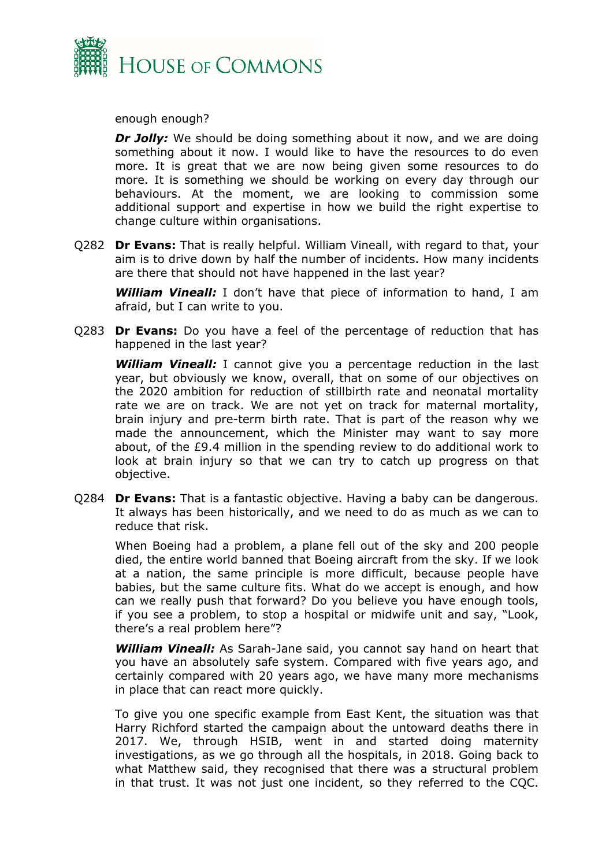

enough enough?

*Dr Jolly:* We should be doing something about it now, and we are doing something about it now. I would like to have the resources to do even more. It is great that we are now being given some resources to do more. It is something we should be working on every day through our behaviours. At the moment, we are looking to commission some additional support and expertise in how we build the right expertise to change culture within organisations.

Q282 **Dr Evans:** That is really helpful. William Vineall, with regard to that, your aim is to drive down by half the number of incidents. How many incidents are there that should not have happened in the last year?

*William Vineall:* I don't have that piece of information to hand, I am afraid, but I can write to you.

Q283 **Dr Evans:** Do you have a feel of the percentage of reduction that has happened in the last year?

*William Vineall:* I cannot give you a percentage reduction in the last year, but obviously we know, overall, that on some of our objectives on the 2020 ambition for reduction of stillbirth rate and neonatal mortality rate we are on track. We are not yet on track for maternal mortality, brain injury and pre-term birth rate. That is part of the reason why we made the announcement, which the Minister may want to say more about, of the £9.4 million in the spending review to do additional work to look at brain injury so that we can try to catch up progress on that objective.

Q284 **Dr Evans:** That is a fantastic objective. Having a baby can be dangerous. It always has been historically, and we need to do as much as we can to reduce that risk.

When Boeing had a problem, a plane fell out of the sky and 200 people died, the entire world banned that Boeing aircraft from the sky. If we look at a nation, the same principle is more difficult, because people have babies, but the same culture fits. What do we accept is enough, and how can we really push that forward? Do you believe you have enough tools, if you see a problem, to stop a hospital or midwife unit and say, "Look, there's a real problem here"?

*William Vineall:* As Sarah-Jane said, you cannot say hand on heart that you have an absolutely safe system. Compared with five years ago, and certainly compared with 20 years ago, we have many more mechanisms in place that can react more quickly.

To give you one specific example from East Kent, the situation was that Harry Richford started the campaign about the untoward deaths there in 2017. We, through HSIB, went in and started doing maternity investigations, as we go through all the hospitals, in 2018. Going back to what Matthew said, they recognised that there was a structural problem in that trust. It was not just one incident, so they referred to the CQC.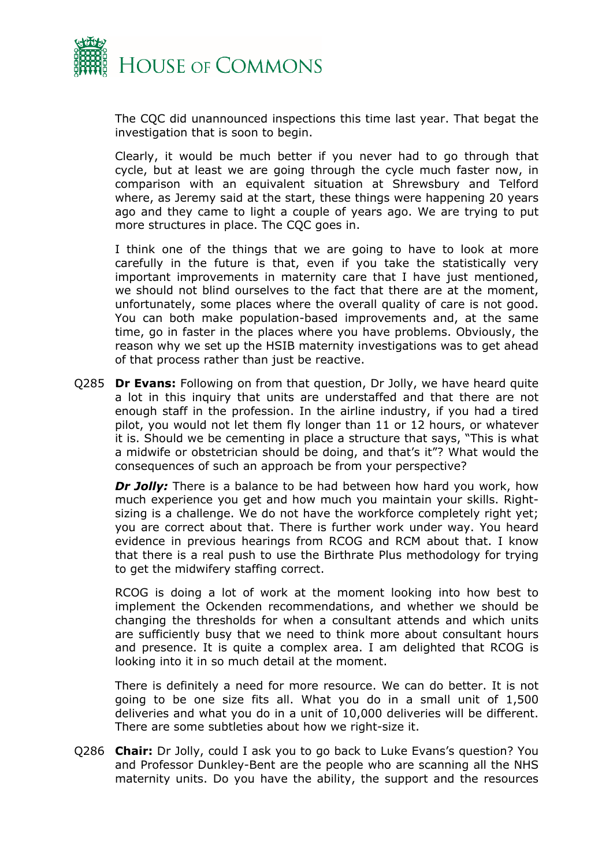

The CQC did unannounced inspections this time last year. That begat the investigation that is soon to begin.

Clearly, it would be much better if you never had to go through that cycle, but at least we are going through the cycle much faster now, in comparison with an equivalent situation at Shrewsbury and Telford where, as Jeremy said at the start, these things were happening 20 years ago and they came to light a couple of years ago. We are trying to put more structures in place. The CQC goes in.

I think one of the things that we are going to have to look at more carefully in the future is that, even if you take the statistically very important improvements in maternity care that I have just mentioned, we should not blind ourselves to the fact that there are at the moment, unfortunately, some places where the overall quality of care is not good. You can both make population-based improvements and, at the same time, go in faster in the places where you have problems. Obviously, the reason why we set up the HSIB maternity investigations was to get ahead of that process rather than just be reactive.

Q285 **Dr Evans:** Following on from that question, Dr Jolly, we have heard quite a lot in this inquiry that units are understaffed and that there are not enough staff in the profession. In the airline industry, if you had a tired pilot, you would not let them fly longer than 11 or 12 hours, or whatever it is. Should we be cementing in place a structure that says, "This is what a midwife or obstetrician should be doing, and that's it"? What would the consequences of such an approach be from your perspective?

*Dr Jolly:* There is a balance to be had between how hard you work, how much experience you get and how much you maintain your skills. Rightsizing is a challenge. We do not have the workforce completely right yet; you are correct about that. There is further work under way. You heard evidence in previous hearings from RCOG and RCM about that. I know that there is a real push to use the Birthrate Plus methodology for trying to get the midwifery staffing correct.

RCOG is doing a lot of work at the moment looking into how best to implement the Ockenden recommendations, and whether we should be changing the thresholds for when a consultant attends and which units are sufficiently busy that we need to think more about consultant hours and presence. It is quite a complex area. I am delighted that RCOG is looking into it in so much detail at the moment.

There is definitely a need for more resource. We can do better. It is not going to be one size fits all. What you do in a small unit of 1,500 deliveries and what you do in a unit of 10,000 deliveries will be different. There are some subtleties about how we right-size it.

Q286 **Chair:** Dr Jolly, could I ask you to go back to Luke Evans's question? You and Professor Dunkley-Bent are the people who are scanning all the NHS maternity units. Do you have the ability, the support and the resources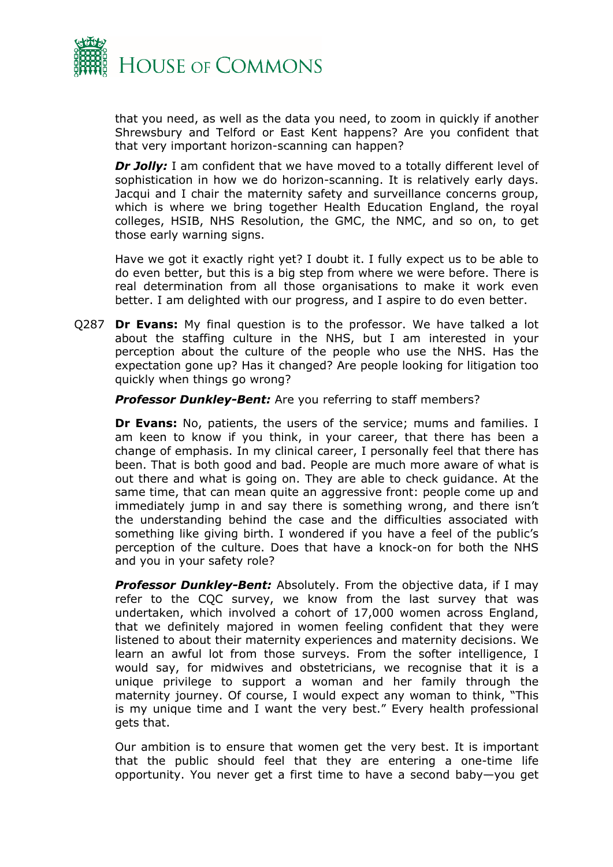

that you need, as well as the data you need, to zoom in quickly if another Shrewsbury and Telford or East Kent happens? Are you confident that that very important horizon-scanning can happen?

**Dr Jolly:** I am confident that we have moved to a totally different level of sophistication in how we do horizon-scanning. It is relatively early days. Jacqui and I chair the maternity safety and surveillance concerns group, which is where we bring together Health Education England, the royal colleges, HSIB, NHS Resolution, the GMC, the NMC, and so on, to get those early warning signs.

Have we got it exactly right yet? I doubt it. I fully expect us to be able to do even better, but this is a big step from where we were before. There is real determination from all those organisations to make it work even better. I am delighted with our progress, and I aspire to do even better.

Q287 **Dr Evans:** My final question is to the professor. We have talked a lot about the staffing culture in the NHS, but I am interested in your perception about the culture of the people who use the NHS. Has the expectation gone up? Has it changed? Are people looking for litigation too quickly when things go wrong?

*Professor Dunkley-Bent:* Are you referring to staff members?

**Dr Evans:** No, patients, the users of the service; mums and families. I am keen to know if you think, in your career, that there has been a change of emphasis. In my clinical career, I personally feel that there has been. That is both good and bad. People are much more aware of what is out there and what is going on. They are able to check guidance. At the same time, that can mean quite an aggressive front: people come up and immediately jump in and say there is something wrong, and there isn't the understanding behind the case and the difficulties associated with something like giving birth. I wondered if you have a feel of the public's perception of the culture. Does that have a knock-on for both the NHS and you in your safety role?

*Professor Dunkley-Bent:* Absolutely. From the objective data, if I may refer to the CQC survey, we know from the last survey that was undertaken, which involved a cohort of 17,000 women across England, that we definitely majored in women feeling confident that they were listened to about their maternity experiences and maternity decisions. We learn an awful lot from those surveys. From the softer intelligence, I would say, for midwives and obstetricians, we recognise that it is a unique privilege to support a woman and her family through the maternity journey. Of course, I would expect any woman to think, "This is my unique time and I want the very best." Every health professional gets that.

Our ambition is to ensure that women get the very best. It is important that the public should feel that they are entering a one-time life opportunity. You never get a first time to have a second baby—you get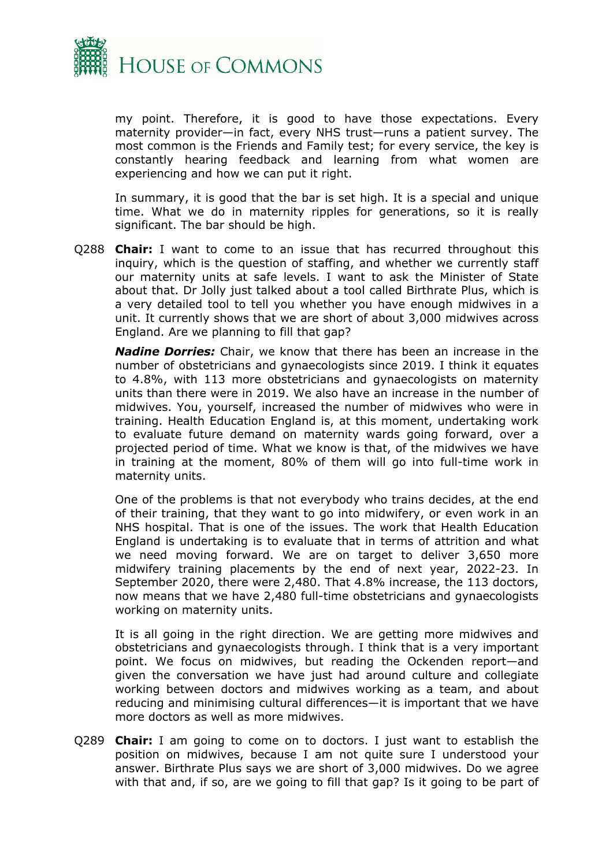

my point. Therefore, it is good to have those expectations. Every maternity provider—in fact, every NHS trust—runs a patient survey. The most common is the Friends and Family test; for every service, the key is constantly hearing feedback and learning from what women are experiencing and how we can put it right.

In summary, it is good that the bar is set high. It is a special and unique time. What we do in maternity ripples for generations, so it is really significant. The bar should be high.

Q288 **Chair:** I want to come to an issue that has recurred throughout this inquiry, which is the question of staffing, and whether we currently staff our maternity units at safe levels. I want to ask the Minister of State about that. Dr Jolly just talked about a tool called Birthrate Plus, which is a very detailed tool to tell you whether you have enough midwives in a unit. It currently shows that we are short of about 3,000 midwives across England. Are we planning to fill that gap?

*Nadine Dorries:* Chair, we know that there has been an increase in the number of obstetricians and gynaecologists since 2019. I think it equates to 4.8%, with 113 more obstetricians and gynaecologists on maternity units than there were in 2019. We also have an increase in the number of midwives. You, yourself, increased the number of midwives who were in training. Health Education England is, at this moment, undertaking work to evaluate future demand on maternity wards going forward, over a projected period of time. What we know is that, of the midwives we have in training at the moment, 80% of them will go into full-time work in maternity units.

One of the problems is that not everybody who trains decides, at the end of their training, that they want to go into midwifery, or even work in an NHS hospital. That is one of the issues. The work that Health Education England is undertaking is to evaluate that in terms of attrition and what we need moving forward. We are on target to deliver 3,650 more midwifery training placements by the end of next year, 2022-23. In September 2020, there were 2,480. That 4.8% increase, the 113 doctors, now means that we have 2,480 full-time obstetricians and gynaecologists working on maternity units.

It is all going in the right direction. We are getting more midwives and obstetricians and gynaecologists through. I think that is a very important point. We focus on midwives, but reading the Ockenden report—and given the conversation we have just had around culture and collegiate working between doctors and midwives working as a team, and about reducing and minimising cultural differences—it is important that we have more doctors as well as more midwives.

Q289 **Chair:** I am going to come on to doctors. I just want to establish the position on midwives, because I am not quite sure I understood your answer. Birthrate Plus says we are short of 3,000 midwives. Do we agree with that and, if so, are we going to fill that gap? Is it going to be part of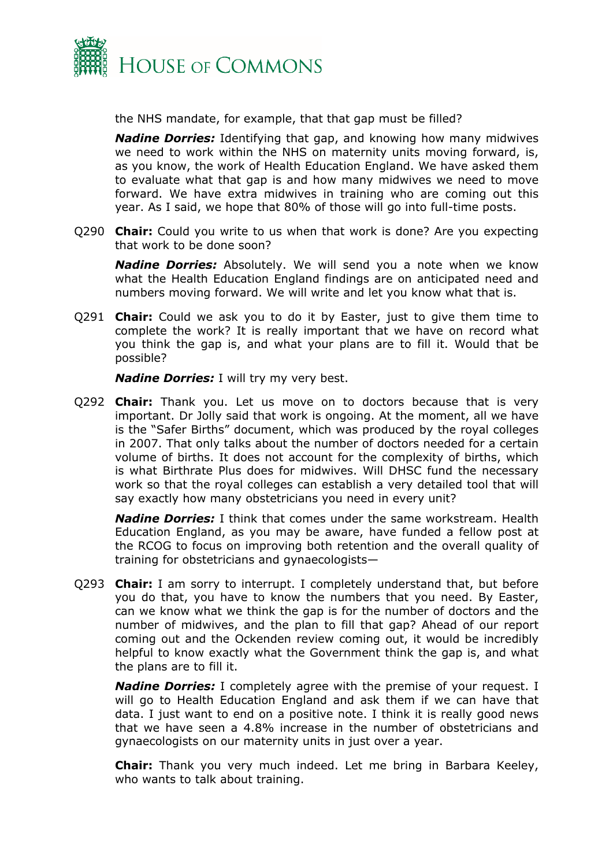

the NHS mandate, for example, that that gap must be filled?

*Nadine Dorries:* Identifying that gap, and knowing how many midwives we need to work within the NHS on maternity units moving forward, is, as you know, the work of Health Education England. We have asked them to evaluate what that gap is and how many midwives we need to move forward. We have extra midwives in training who are coming out this year. As I said, we hope that 80% of those will go into full-time posts.

Q290 **Chair:** Could you write to us when that work is done? Are you expecting that work to be done soon?

*Nadine Dorries:* Absolutely. We will send you a note when we know what the Health Education England findings are on anticipated need and numbers moving forward. We will write and let you know what that is.

Q291 **Chair:** Could we ask you to do it by Easter, just to give them time to complete the work? It is really important that we have on record what you think the gap is, and what your plans are to fill it. Would that be possible?

*Nadine Dorries:* I will try my very best.

Q292 **Chair:** Thank you. Let us move on to doctors because that is very important. Dr Jolly said that work is ongoing. At the moment, all we have is the "Safer Births" document, which was produced by the royal colleges in 2007. That only talks about the number of doctors needed for a certain volume of births. It does not account for the complexity of births, which is what Birthrate Plus does for midwives. Will DHSC fund the necessary work so that the royal colleges can establish a very detailed tool that will say exactly how many obstetricians you need in every unit?

*Nadine Dorries:* I think that comes under the same workstream. Health Education England, as you may be aware, have funded a fellow post at the RCOG to focus on improving both retention and the overall quality of training for obstetricians and gynaecologists—

Q293 **Chair:** I am sorry to interrupt. I completely understand that, but before you do that, you have to know the numbers that you need. By Easter, can we know what we think the gap is for the number of doctors and the number of midwives, and the plan to fill that gap? Ahead of our report coming out and the Ockenden review coming out, it would be incredibly helpful to know exactly what the Government think the gap is, and what the plans are to fill it.

*Nadine Dorries:* I completely agree with the premise of your request. I will go to Health Education England and ask them if we can have that data. I just want to end on a positive note. I think it is really good news that we have seen a 4.8% increase in the number of obstetricians and gynaecologists on our maternity units in just over a year.

**Chair:** Thank you very much indeed. Let me bring in Barbara Keeley, who wants to talk about training.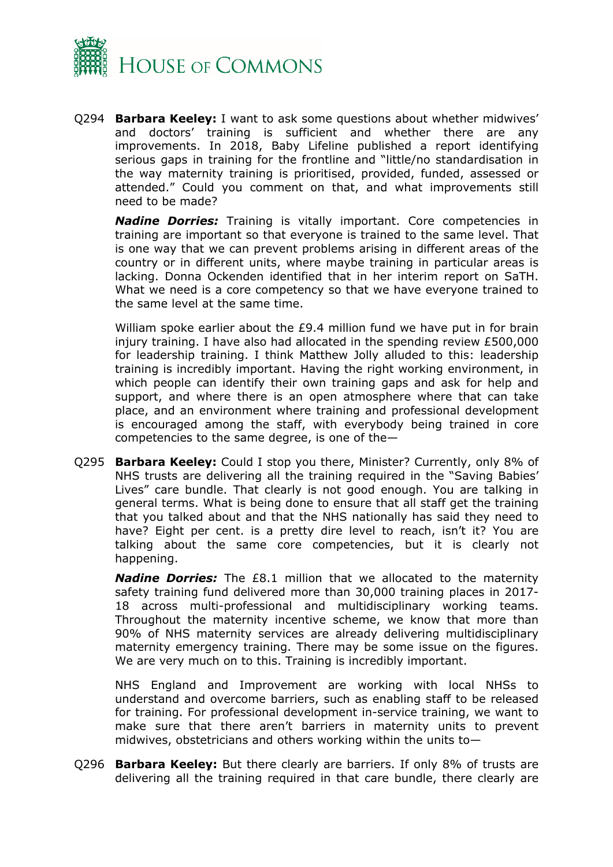

Q294 **Barbara Keeley:** I want to ask some questions about whether midwives' and doctors' training is sufficient and whether there are any improvements. In 2018, Baby Lifeline published a report identifying serious gaps in training for the frontline and "little/no standardisation in the way maternity training is prioritised, provided, funded, assessed or attended." Could you comment on that, and what improvements still need to be made?

*Nadine Dorries:* Training is vitally important. Core competencies in training are important so that everyone is trained to the same level. That is one way that we can prevent problems arising in different areas of the country or in different units, where maybe training in particular areas is lacking. Donna Ockenden identified that in her interim report on SaTH. What we need is a core competency so that we have everyone trained to the same level at the same time.

William spoke earlier about the £9.4 million fund we have put in for brain injury training. I have also had allocated in the spending review £500,000 for leadership training. I think Matthew Jolly alluded to this: leadership training is incredibly important. Having the right working environment, in which people can identify their own training gaps and ask for help and support, and where there is an open atmosphere where that can take place, and an environment where training and professional development is encouraged among the staff, with everybody being trained in core competencies to the same degree, is one of the—

Q295 **Barbara Keeley:** Could I stop you there, Minister? Currently, only 8% of NHS trusts are delivering all the training required in the "Saving Babies' Lives" care bundle. That clearly is not good enough. You are talking in general terms. What is being done to ensure that all staff get the training that you talked about and that the NHS nationally has said they need to have? Eight per cent. is a pretty dire level to reach, isn't it? You are talking about the same core competencies, but it is clearly not happening.

*Nadine Dorries:* The £8.1 million that we allocated to the maternity safety training fund delivered more than 30,000 training places in 2017- 18 across multi-professional and multidisciplinary working teams. Throughout the maternity incentive scheme, we know that more than 90% of NHS maternity services are already delivering multidisciplinary maternity emergency training. There may be some issue on the figures. We are very much on to this. Training is incredibly important.

NHS England and Improvement are working with local NHSs to understand and overcome barriers, such as enabling staff to be released for training. For professional development in-service training, we want to make sure that there aren't barriers in maternity units to prevent midwives, obstetricians and others working within the units to—

Q296 **Barbara Keeley:** But there clearly are barriers. If only 8% of trusts are delivering all the training required in that care bundle, there clearly are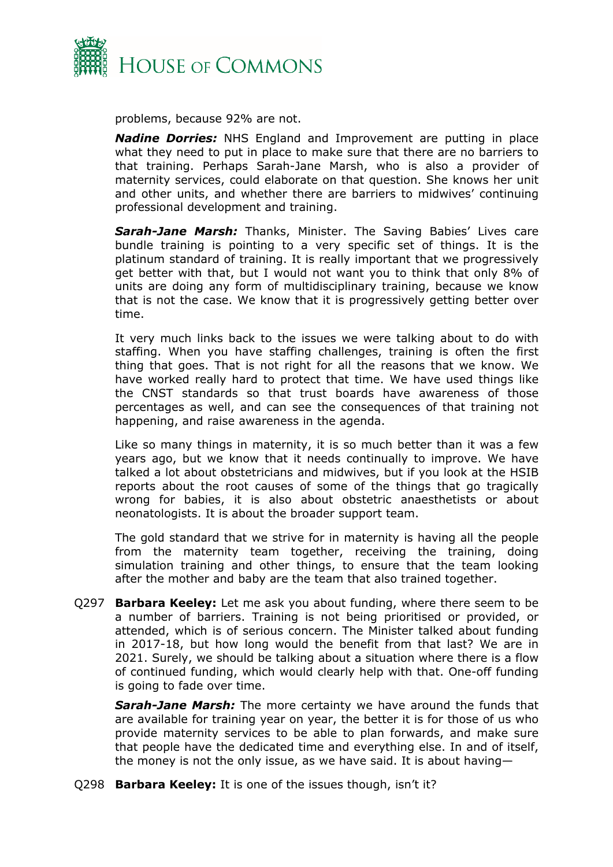

problems, because 92% are not.

*Nadine Dorries:* NHS England and Improvement are putting in place what they need to put in place to make sure that there are no barriers to that training. Perhaps Sarah-Jane Marsh, who is also a provider of maternity services, could elaborate on that question. She knows her unit and other units, and whether there are barriers to midwives' continuing professional development and training.

*Sarah-Jane Marsh:* Thanks, Minister. The Saving Babies' Lives care bundle training is pointing to a very specific set of things. It is the platinum standard of training. It is really important that we progressively get better with that, but I would not want you to think that only 8% of units are doing any form of multidisciplinary training, because we know that is not the case. We know that it is progressively getting better over time.

It very much links back to the issues we were talking about to do with staffing. When you have staffing challenges, training is often the first thing that goes. That is not right for all the reasons that we know. We have worked really hard to protect that time. We have used things like the CNST standards so that trust boards have awareness of those percentages as well, and can see the consequences of that training not happening, and raise awareness in the agenda.

Like so many things in maternity, it is so much better than it was a few years ago, but we know that it needs continually to improve. We have talked a lot about obstetricians and midwives, but if you look at the HSIB reports about the root causes of some of the things that go tragically wrong for babies, it is also about obstetric anaesthetists or about neonatologists. It is about the broader support team.

The gold standard that we strive for in maternity is having all the people from the maternity team together, receiving the training, doing simulation training and other things, to ensure that the team looking after the mother and baby are the team that also trained together.

Q297 **Barbara Keeley:** Let me ask you about funding, where there seem to be a number of barriers. Training is not being prioritised or provided, or attended, which is of serious concern. The Minister talked about funding in 2017-18, but how long would the benefit from that last? We are in 2021. Surely, we should be talking about a situation where there is a flow of continued funding, which would clearly help with that. One-off funding is going to fade over time.

*Sarah-Jane Marsh:* The more certainty we have around the funds that are available for training year on year, the better it is for those of us who provide maternity services to be able to plan forwards, and make sure that people have the dedicated time and everything else. In and of itself, the money is not the only issue, as we have said. It is about having—

Q298 **Barbara Keeley:** It is one of the issues though, isn't it?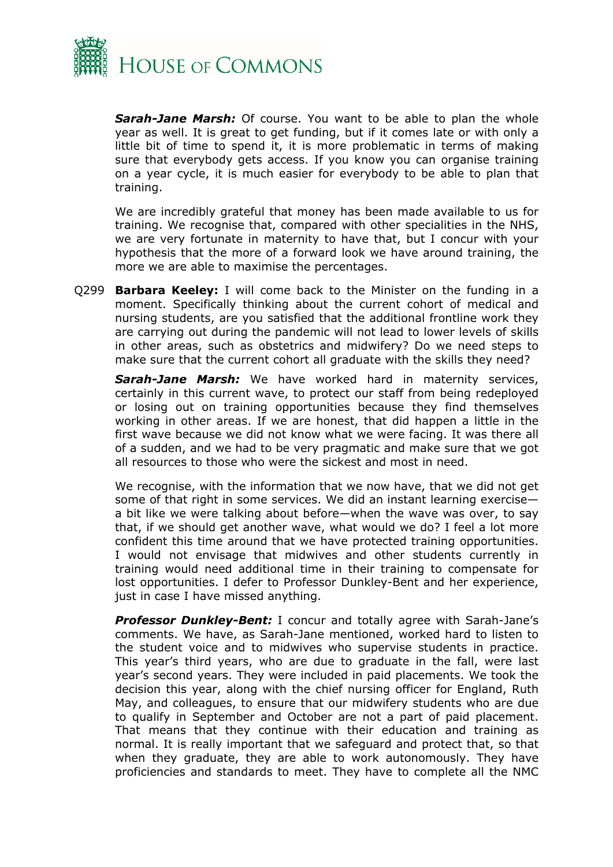

*Sarah-Jane Marsh:* Of course. You want to be able to plan the whole year as well. It is great to get funding, but if it comes late or with only a little bit of time to spend it, it is more problematic in terms of making sure that everybody gets access. If you know you can organise training on a year cycle, it is much easier for everybody to be able to plan that training.

We are incredibly grateful that money has been made available to us for training. We recognise that, compared with other specialities in the NHS, we are very fortunate in maternity to have that, but I concur with your hypothesis that the more of a forward look we have around training, the more we are able to maximise the percentages.

Q299 **Barbara Keeley:** I will come back to the Minister on the funding in a moment. Specifically thinking about the current cohort of medical and nursing students, are you satisfied that the additional frontline work they are carrying out during the pandemic will not lead to lower levels of skills in other areas, such as obstetrics and midwifery? Do we need steps to make sure that the current cohort all graduate with the skills they need?

*Sarah-Jane Marsh:* We have worked hard in maternity services, certainly in this current wave, to protect our staff from being redeployed or losing out on training opportunities because they find themselves working in other areas. If we are honest, that did happen a little in the first wave because we did not know what we were facing. It was there all of a sudden, and we had to be very pragmatic and make sure that we got all resources to those who were the sickest and most in need.

We recognise, with the information that we now have, that we did not get some of that right in some services. We did an instant learning exercise a bit like we were talking about before—when the wave was over, to say that, if we should get another wave, what would we do? I feel a lot more confident this time around that we have protected training opportunities. I would not envisage that midwives and other students currently in training would need additional time in their training to compensate for lost opportunities. I defer to Professor Dunkley-Bent and her experience, just in case I have missed anything.

*Professor Dunkley-Bent:* I concur and totally agree with Sarah-Jane's comments. We have, as Sarah-Jane mentioned, worked hard to listen to the student voice and to midwives who supervise students in practice. This year's third years, who are due to graduate in the fall, were last year's second years. They were included in paid placements. We took the decision this year, along with the chief nursing officer for England, Ruth May, and colleagues, to ensure that our midwifery students who are due to qualify in September and October are not a part of paid placement. That means that they continue with their education and training as normal. It is really important that we safeguard and protect that, so that when they graduate, they are able to work autonomously. They have proficiencies and standards to meet. They have to complete all the NMC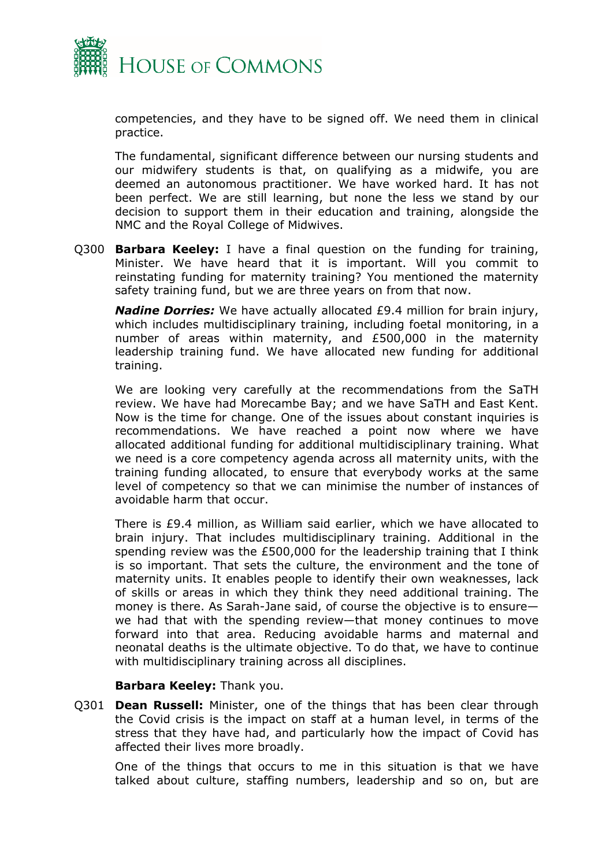

competencies, and they have to be signed off. We need them in clinical practice.

The fundamental, significant difference between our nursing students and our midwifery students is that, on qualifying as a midwife, you are deemed an autonomous practitioner. We have worked hard. It has not been perfect. We are still learning, but none the less we stand by our decision to support them in their education and training, alongside the NMC and the Royal College of Midwives.

Q300 **Barbara Keeley:** I have a final question on the funding for training, Minister. We have heard that it is important. Will you commit to reinstating funding for maternity training? You mentioned the maternity safety training fund, but we are three years on from that now.

*Nadine Dorries:* We have actually allocated £9.4 million for brain injury, which includes multidisciplinary training, including foetal monitoring, in a number of areas within maternity, and £500,000 in the maternity leadership training fund. We have allocated new funding for additional training.

We are looking very carefully at the recommendations from the SaTH review. We have had Morecambe Bay; and we have SaTH and East Kent. Now is the time for change. One of the issues about constant inquiries is recommendations. We have reached a point now where we have allocated additional funding for additional multidisciplinary training. What we need is a core competency agenda across all maternity units, with the training funding allocated, to ensure that everybody works at the same level of competency so that we can minimise the number of instances of avoidable harm that occur.

There is £9.4 million, as William said earlier, which we have allocated to brain injury. That includes multidisciplinary training. Additional in the spending review was the £500,000 for the leadership training that I think is so important. That sets the culture, the environment and the tone of maternity units. It enables people to identify their own weaknesses, lack of skills or areas in which they think they need additional training. The money is there. As Sarah-Jane said, of course the objective is to ensure we had that with the spending review—that money continues to move forward into that area. Reducing avoidable harms and maternal and neonatal deaths is the ultimate objective. To do that, we have to continue with multidisciplinary training across all disciplines.

### **Barbara Keeley:** Thank you.

Q301 **Dean Russell:** Minister, one of the things that has been clear through the Covid crisis is the impact on staff at a human level, in terms of the stress that they have had, and particularly how the impact of Covid has affected their lives more broadly.

One of the things that occurs to me in this situation is that we have talked about culture, staffing numbers, leadership and so on, but are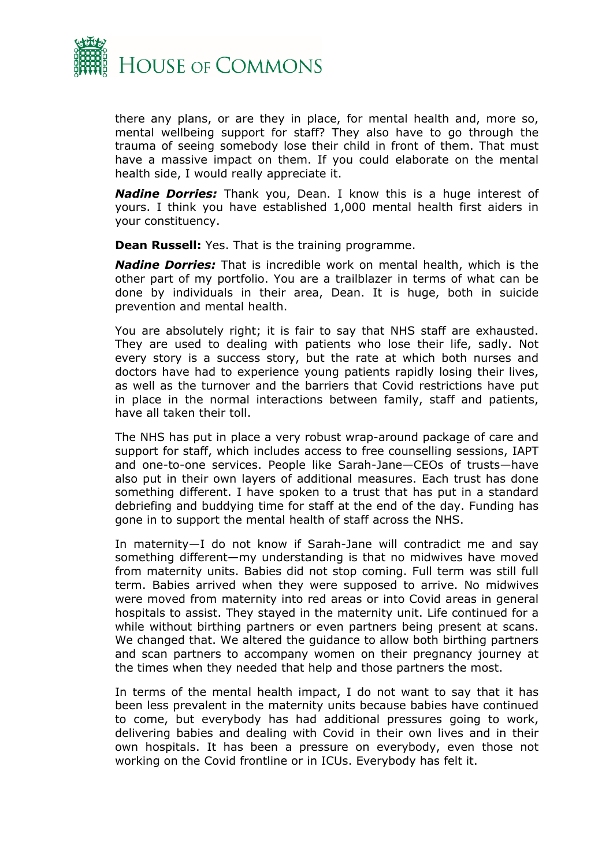

there any plans, or are they in place, for mental health and, more so, mental wellbeing support for staff? They also have to go through the trauma of seeing somebody lose their child in front of them. That must have a massive impact on them. If you could elaborate on the mental health side, I would really appreciate it.

*Nadine Dorries:* Thank you, Dean. I know this is a huge interest of yours. I think you have established 1,000 mental health first aiders in your constituency.

**Dean Russell:** Yes. That is the training programme.

*Nadine Dorries:* That is incredible work on mental health, which is the other part of my portfolio. You are a trailblazer in terms of what can be done by individuals in their area, Dean. It is huge, both in suicide prevention and mental health.

You are absolutely right; it is fair to say that NHS staff are exhausted. They are used to dealing with patients who lose their life, sadly. Not every story is a success story, but the rate at which both nurses and doctors have had to experience young patients rapidly losing their lives, as well as the turnover and the barriers that Covid restrictions have put in place in the normal interactions between family, staff and patients, have all taken their toll.

The NHS has put in place a very robust wrap-around package of care and support for staff, which includes access to free counselling sessions, IAPT and one-to-one services. People like Sarah-Jane—CEOs of trusts—have also put in their own layers of additional measures. Each trust has done something different. I have spoken to a trust that has put in a standard debriefing and buddying time for staff at the end of the day. Funding has gone in to support the mental health of staff across the NHS.

In maternity—I do not know if Sarah-Jane will contradict me and say something different—my understanding is that no midwives have moved from maternity units. Babies did not stop coming. Full term was still full term. Babies arrived when they were supposed to arrive. No midwives were moved from maternity into red areas or into Covid areas in general hospitals to assist. They stayed in the maternity unit. Life continued for a while without birthing partners or even partners being present at scans. We changed that. We altered the guidance to allow both birthing partners and scan partners to accompany women on their pregnancy journey at the times when they needed that help and those partners the most.

In terms of the mental health impact, I do not want to say that it has been less prevalent in the maternity units because babies have continued to come, but everybody has had additional pressures going to work, delivering babies and dealing with Covid in their own lives and in their own hospitals. It has been a pressure on everybody, even those not working on the Covid frontline or in ICUs. Everybody has felt it.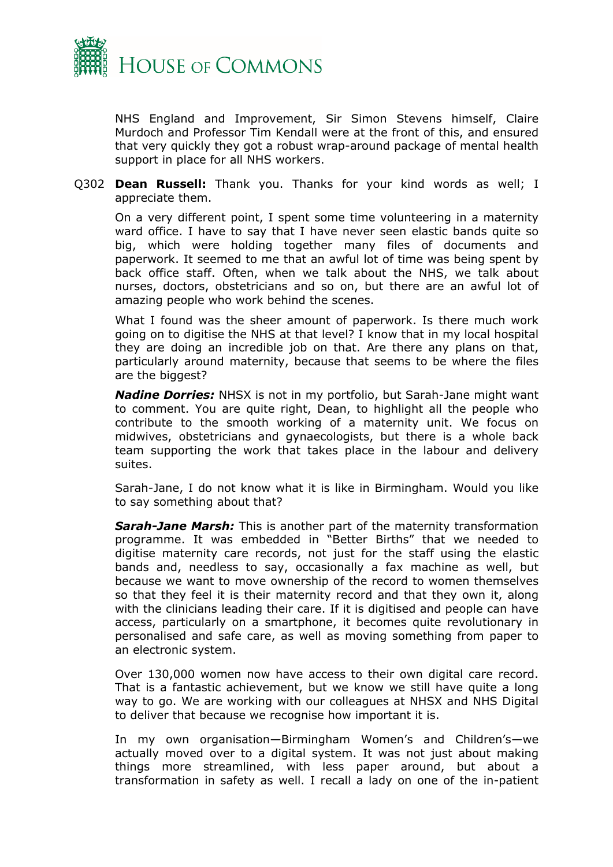

NHS England and Improvement, Sir Simon Stevens himself, Claire Murdoch and Professor Tim Kendall were at the front of this, and ensured that very quickly they got a robust wrap-around package of mental health support in place for all NHS workers.

Q302 **Dean Russell:** Thank you. Thanks for your kind words as well; I appreciate them.

On a very different point, I spent some time volunteering in a maternity ward office. I have to say that I have never seen elastic bands quite so big, which were holding together many files of documents and paperwork. It seemed to me that an awful lot of time was being spent by back office staff. Often, when we talk about the NHS, we talk about nurses, doctors, obstetricians and so on, but there are an awful lot of amazing people who work behind the scenes.

What I found was the sheer amount of paperwork. Is there much work going on to digitise the NHS at that level? I know that in my local hospital they are doing an incredible job on that. Are there any plans on that, particularly around maternity, because that seems to be where the files are the biggest?

*Nadine Dorries:* NHSX is not in my portfolio, but Sarah-Jane might want to comment. You are quite right, Dean, to highlight all the people who contribute to the smooth working of a maternity unit. We focus on midwives, obstetricians and gynaecologists, but there is a whole back team supporting the work that takes place in the labour and delivery suites.

Sarah-Jane, I do not know what it is like in Birmingham. Would you like to say something about that?

*Sarah-Jane Marsh:* This is another part of the maternity transformation programme. It was embedded in "Better Births" that we needed to digitise maternity care records, not just for the staff using the elastic bands and, needless to say, occasionally a fax machine as well, but because we want to move ownership of the record to women themselves so that they feel it is their maternity record and that they own it, along with the clinicians leading their care. If it is digitised and people can have access, particularly on a smartphone, it becomes quite revolutionary in personalised and safe care, as well as moving something from paper to an electronic system.

Over 130,000 women now have access to their own digital care record. That is a fantastic achievement, but we know we still have quite a long way to go. We are working with our colleagues at NHSX and NHS Digital to deliver that because we recognise how important it is.

In my own organisation—Birmingham Women's and Children's—we actually moved over to a digital system. It was not just about making things more streamlined, with less paper around, but about a transformation in safety as well. I recall a lady on one of the in-patient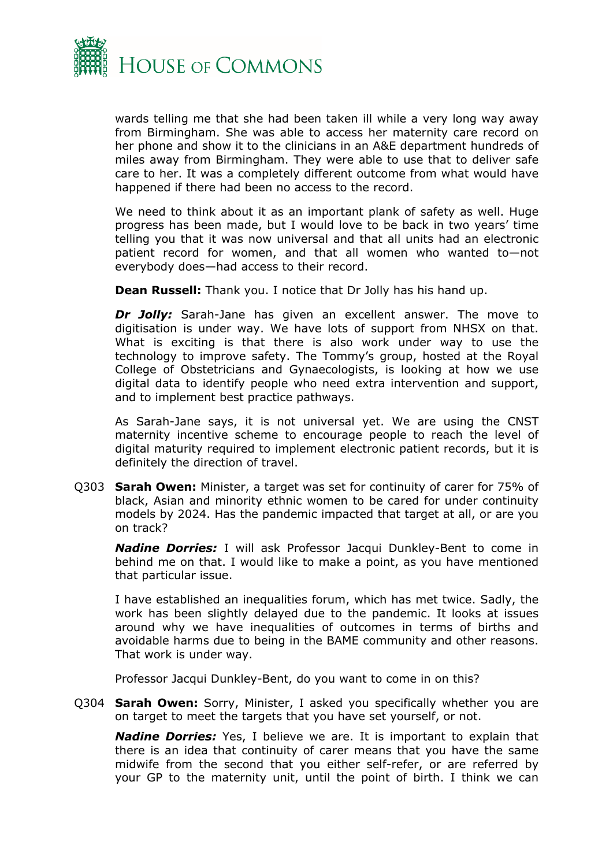

wards telling me that she had been taken ill while a very long way away from Birmingham. She was able to access her maternity care record on her phone and show it to the clinicians in an A&E department hundreds of miles away from Birmingham. They were able to use that to deliver safe care to her. It was a completely different outcome from what would have happened if there had been no access to the record.

We need to think about it as an important plank of safety as well. Huge progress has been made, but I would love to be back in two years' time telling you that it was now universal and that all units had an electronic patient record for women, and that all women who wanted to—not everybody does—had access to their record.

**Dean Russell:** Thank you. I notice that Dr Jolly has his hand up.

*Dr Jolly:* Sarah-Jane has given an excellent answer. The move to digitisation is under way. We have lots of support from NHSX on that. What is exciting is that there is also work under way to use the technology to improve safety. The Tommy's group, hosted at the Royal College of Obstetricians and Gynaecologists, is looking at how we use digital data to identify people who need extra intervention and support, and to implement best practice pathways.

As Sarah-Jane says, it is not universal yet. We are using the CNST maternity incentive scheme to encourage people to reach the level of digital maturity required to implement electronic patient records, but it is definitely the direction of travel.

Q303 **Sarah Owen:** Minister, a target was set for continuity of carer for 75% of black, Asian and minority ethnic women to be cared for under continuity models by 2024. Has the pandemic impacted that target at all, or are you on track?

*Nadine Dorries:* I will ask Professor Jacqui Dunkley-Bent to come in behind me on that. I would like to make a point, as you have mentioned that particular issue.

I have established an inequalities forum, which has met twice. Sadly, the work has been slightly delayed due to the pandemic. It looks at issues around why we have inequalities of outcomes in terms of births and avoidable harms due to being in the BAME community and other reasons. That work is under way.

Professor Jacqui Dunkley-Bent, do you want to come in on this?

Q304 **Sarah Owen:** Sorry, Minister, I asked you specifically whether you are on target to meet the targets that you have set yourself, or not.

*Nadine Dorries:* Yes, I believe we are. It is important to explain that there is an idea that continuity of carer means that you have the same midwife from the second that you either self-refer, or are referred by your GP to the maternity unit, until the point of birth. I think we can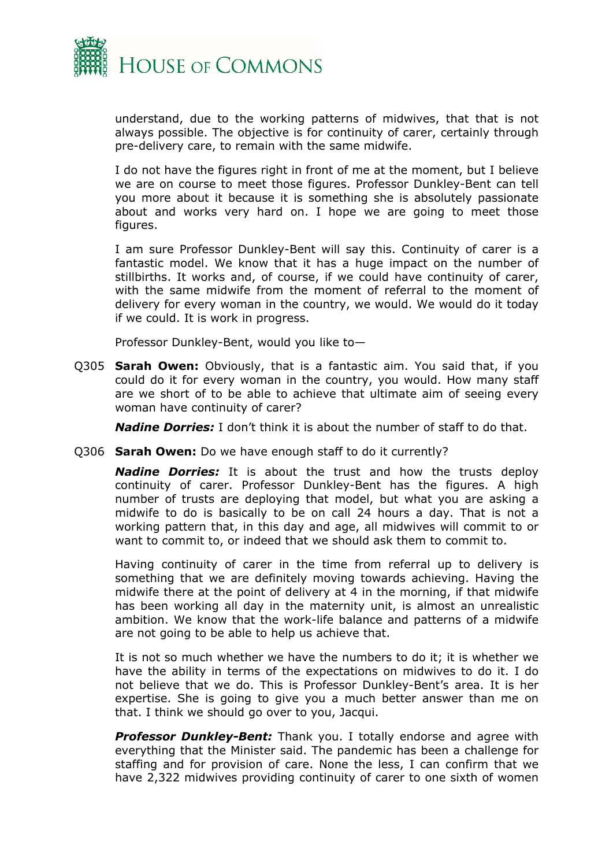

understand, due to the working patterns of midwives, that that is not always possible. The objective is for continuity of carer, certainly through pre-delivery care, to remain with the same midwife.

I do not have the figures right in front of me at the moment, but I believe we are on course to meet those figures. Professor Dunkley-Bent can tell you more about it because it is something she is absolutely passionate about and works very hard on. I hope we are going to meet those figures.

I am sure Professor Dunkley-Bent will say this. Continuity of carer is a fantastic model. We know that it has a huge impact on the number of stillbirths. It works and, of course, if we could have continuity of carer, with the same midwife from the moment of referral to the moment of delivery for every woman in the country, we would. We would do it today if we could. It is work in progress.

Professor Dunkley-Bent, would you like to—

Q305 **Sarah Owen:** Obviously, that is a fantastic aim. You said that, if you could do it for every woman in the country, you would. How many staff are we short of to be able to achieve that ultimate aim of seeing every woman have continuity of carer?

*Nadine Dorries:* I don't think it is about the number of staff to do that.

Q306 **Sarah Owen:** Do we have enough staff to do it currently?

*Nadine Dorries:* It is about the trust and how the trusts deploy continuity of carer. Professor Dunkley-Bent has the figures. A high number of trusts are deploying that model, but what you are asking a midwife to do is basically to be on call 24 hours a day. That is not a working pattern that, in this day and age, all midwives will commit to or want to commit to, or indeed that we should ask them to commit to.

Having continuity of carer in the time from referral up to delivery is something that we are definitely moving towards achieving. Having the midwife there at the point of delivery at 4 in the morning, if that midwife has been working all day in the maternity unit, is almost an unrealistic ambition. We know that the work-life balance and patterns of a midwife are not going to be able to help us achieve that.

It is not so much whether we have the numbers to do it; it is whether we have the ability in terms of the expectations on midwives to do it. I do not believe that we do. This is Professor Dunkley-Bent's area. It is her expertise. She is going to give you a much better answer than me on that. I think we should go over to you, Jacqui.

**Professor Dunkley-Bent:** Thank you. I totally endorse and agree with everything that the Minister said. The pandemic has been a challenge for staffing and for provision of care. None the less, I can confirm that we have 2,322 midwives providing continuity of carer to one sixth of women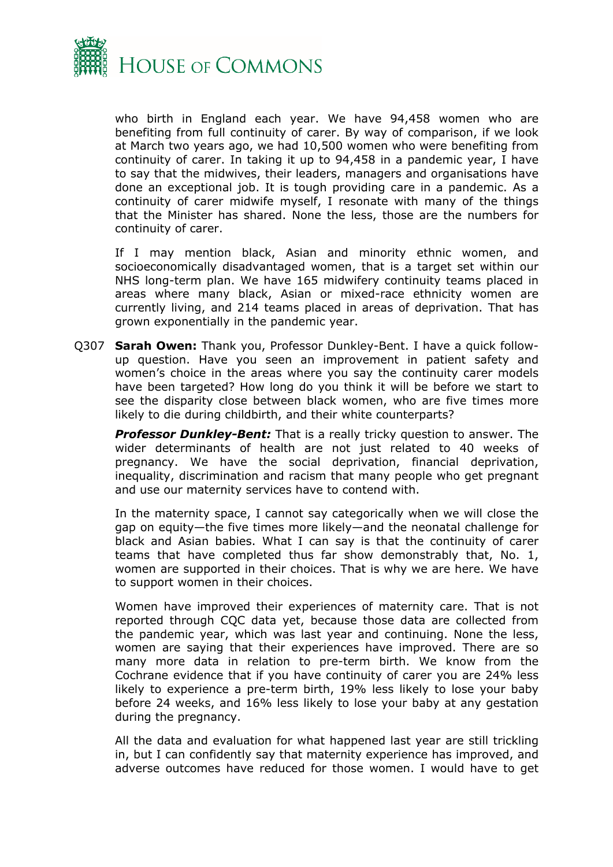

who birth in England each year. We have 94,458 women who are benefiting from full continuity of carer. By way of comparison, if we look at March two years ago, we had 10,500 women who were benefiting from continuity of carer. In taking it up to 94,458 in a pandemic year, I have to say that the midwives, their leaders, managers and organisations have done an exceptional job. It is tough providing care in a pandemic. As a continuity of carer midwife myself, I resonate with many of the things that the Minister has shared. None the less, those are the numbers for continuity of carer.

If I may mention black, Asian and minority ethnic women, and socioeconomically disadvantaged women, that is a target set within our NHS long-term plan. We have 165 midwifery continuity teams placed in areas where many black, Asian or mixed-race ethnicity women are currently living, and 214 teams placed in areas of deprivation. That has grown exponentially in the pandemic year.

Q307 **Sarah Owen:** Thank you, Professor Dunkley-Bent. I have a quick followup question. Have you seen an improvement in patient safety and women's choice in the areas where you say the continuity carer models have been targeted? How long do you think it will be before we start to see the disparity close between black women, who are five times more likely to die during childbirth, and their white counterparts?

*Professor Dunkley-Bent:* That is a really tricky question to answer. The wider determinants of health are not just related to 40 weeks of pregnancy. We have the social deprivation, financial deprivation, inequality, discrimination and racism that many people who get pregnant and use our maternity services have to contend with.

In the maternity space, I cannot say categorically when we will close the gap on equity—the five times more likely—and the neonatal challenge for black and Asian babies. What I can say is that the continuity of carer teams that have completed thus far show demonstrably that, No. 1, women are supported in their choices. That is why we are here. We have to support women in their choices.

Women have improved their experiences of maternity care. That is not reported through CQC data yet, because those data are collected from the pandemic year, which was last year and continuing. None the less, women are saying that their experiences have improved. There are so many more data in relation to pre-term birth. We know from the Cochrane evidence that if you have continuity of carer you are 24% less likely to experience a pre-term birth, 19% less likely to lose your baby before 24 weeks, and 16% less likely to lose your baby at any gestation during the pregnancy.

All the data and evaluation for what happened last year are still trickling in, but I can confidently say that maternity experience has improved, and adverse outcomes have reduced for those women. I would have to get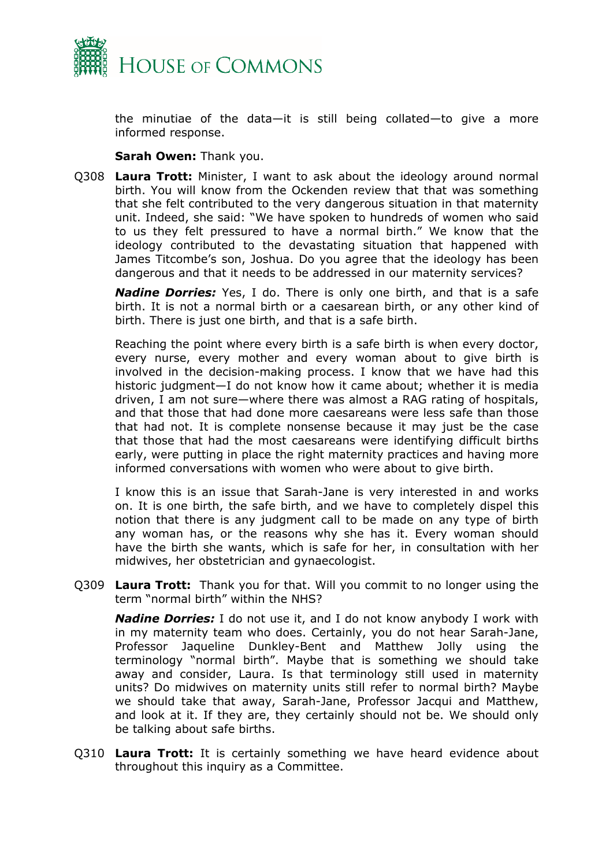

the minutiae of the data—it is still being collated—to give a more informed response.

## **Sarah Owen:** Thank you.

Q308 **Laura Trott:** Minister, I want to ask about the ideology around normal birth. You will know from the Ockenden review that that was something that she felt contributed to the very dangerous situation in that maternity unit. Indeed, she said: "We have spoken to hundreds of women who said to us they felt pressured to have a normal birth." We know that the ideology contributed to the devastating situation that happened with James Titcombe's son, Joshua. Do you agree that the ideology has been dangerous and that it needs to be addressed in our maternity services?

*Nadine Dorries:* Yes, I do. There is only one birth, and that is a safe birth. It is not a normal birth or a caesarean birth, or any other kind of birth. There is just one birth, and that is a safe birth.

Reaching the point where every birth is a safe birth is when every doctor, every nurse, every mother and every woman about to give birth is involved in the decision-making process. I know that we have had this historic judgment—I do not know how it came about; whether it is media driven, I am not sure—where there was almost a RAG rating of hospitals, and that those that had done more caesareans were less safe than those that had not. It is complete nonsense because it may just be the case that those that had the most caesareans were identifying difficult births early, were putting in place the right maternity practices and having more informed conversations with women who were about to give birth.

I know this is an issue that Sarah-Jane is very interested in and works on. It is one birth, the safe birth, and we have to completely dispel this notion that there is any judgment call to be made on any type of birth any woman has, or the reasons why she has it. Every woman should have the birth she wants, which is safe for her, in consultation with her midwives, her obstetrician and gynaecologist.

Q309 **Laura Trott:** Thank you for that. Will you commit to no longer using the term "normal birth" within the NHS?

*Nadine Dorries:* I do not use it, and I do not know anybody I work with in my maternity team who does. Certainly, you do not hear Sarah-Jane, Professor Jaqueline Dunkley-Bent and Matthew Jolly using the terminology "normal birth". Maybe that is something we should take away and consider, Laura. Is that terminology still used in maternity units? Do midwives on maternity units still refer to normal birth? Maybe we should take that away, Sarah-Jane, Professor Jacqui and Matthew, and look at it. If they are, they certainly should not be. We should only be talking about safe births.

Q310 **Laura Trott:** It is certainly something we have heard evidence about throughout this inquiry as a Committee.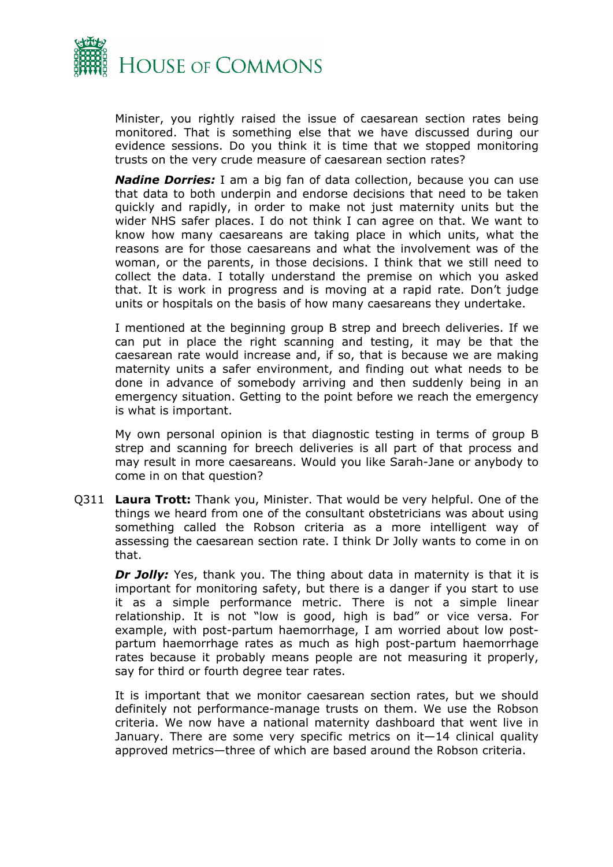

Minister, you rightly raised the issue of caesarean section rates being monitored. That is something else that we have discussed during our evidence sessions. Do you think it is time that we stopped monitoring trusts on the very crude measure of caesarean section rates?

*Nadine Dorries:* I am a big fan of data collection, because you can use that data to both underpin and endorse decisions that need to be taken quickly and rapidly, in order to make not just maternity units but the wider NHS safer places. I do not think I can agree on that. We want to know how many caesareans are taking place in which units, what the reasons are for those caesareans and what the involvement was of the woman, or the parents, in those decisions. I think that we still need to collect the data. I totally understand the premise on which you asked that. It is work in progress and is moving at a rapid rate. Don't judge units or hospitals on the basis of how many caesareans they undertake.

I mentioned at the beginning group B strep and breech deliveries. If we can put in place the right scanning and testing, it may be that the caesarean rate would increase and, if so, that is because we are making maternity units a safer environment, and finding out what needs to be done in advance of somebody arriving and then suddenly being in an emergency situation. Getting to the point before we reach the emergency is what is important.

My own personal opinion is that diagnostic testing in terms of group B strep and scanning for breech deliveries is all part of that process and may result in more caesareans. Would you like Sarah-Jane or anybody to come in on that question?

Q311 **Laura Trott:** Thank you, Minister. That would be very helpful. One of the things we heard from one of the consultant obstetricians was about using something called the Robson criteria as a more intelligent way of assessing the caesarean section rate. I think Dr Jolly wants to come in on that.

*Dr Jolly:* Yes, thank you. The thing about data in maternity is that it is important for monitoring safety, but there is a danger if you start to use it as a simple performance metric. There is not a simple linear relationship. It is not "low is good, high is bad" or vice versa. For example, with post-partum haemorrhage, I am worried about low postpartum haemorrhage rates as much as high post-partum haemorrhage rates because it probably means people are not measuring it properly, say for third or fourth degree tear rates.

It is important that we monitor caesarean section rates, but we should definitely not performance-manage trusts on them. We use the Robson criteria. We now have a national maternity dashboard that went live in January. There are some very specific metrics on it—14 clinical quality approved metrics—three of which are based around the Robson criteria.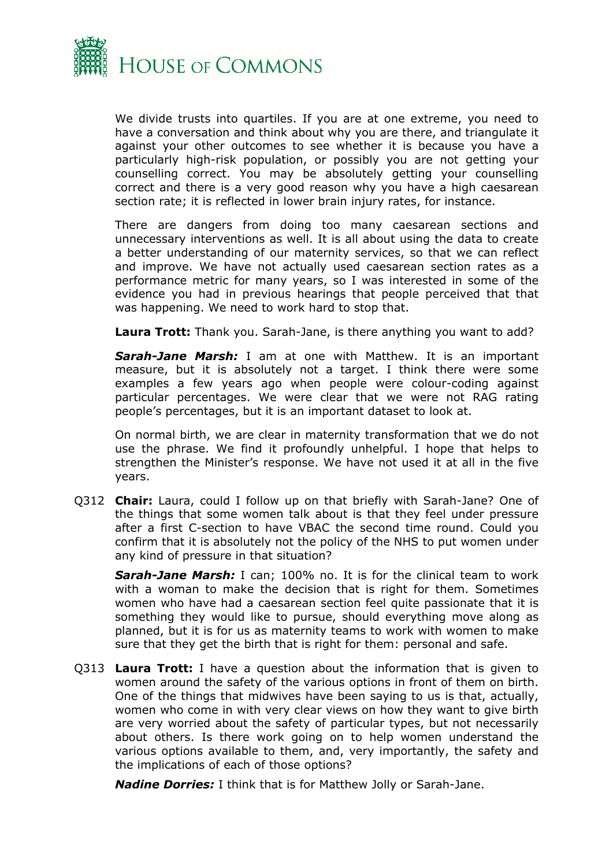

We divide trusts into quartiles. If you are at one extreme, you need to have a conversation and think about why you are there, and triangulate it against your other outcomes to see whether it is because you have a particularly high-risk population, or possibly you are not getting your counselling correct. You may be absolutely getting your counselling correct and there is a very good reason why you have a high caesarean section rate; it is reflected in lower brain injury rates, for instance.

There are dangers from doing too many caesarean sections and unnecessary interventions as well. It is all about using the data to create a better understanding of our maternity services, so that we can reflect and improve. We have not actually used caesarean section rates as a performance metric for many years, so I was interested in some of the evidence you had in previous hearings that people perceived that that was happening. We need to work hard to stop that.

**Laura Trott:** Thank you. Sarah-Jane, is there anything you want to add?

*Sarah-Jane Marsh:* I am at one with Matthew. It is an important measure, but it is absolutely not a target. I think there were some examples a few years ago when people were colour-coding against particular percentages. We were clear that we were not RAG rating people's percentages, but it is an important dataset to look at.

On normal birth, we are clear in maternity transformation that we do not use the phrase. We find it profoundly unhelpful. I hope that helps to strengthen the Minister's response. We have not used it at all in the five years.

Q312 **Chair:** Laura, could I follow up on that briefly with Sarah-Jane? One of the things that some women talk about is that they feel under pressure after a first C-section to have VBAC the second time round. Could you confirm that it is absolutely not the policy of the NHS to put women under any kind of pressure in that situation?

*Sarah-Jane Marsh:* I can; 100% no. It is for the clinical team to work with a woman to make the decision that is right for them. Sometimes women who have had a caesarean section feel quite passionate that it is something they would like to pursue, should everything move along as planned, but it is for us as maternity teams to work with women to make sure that they get the birth that is right for them: personal and safe.

Q313 **Laura Trott:** I have a question about the information that is given to women around the safety of the various options in front of them on birth. One of the things that midwives have been saying to us is that, actually, women who come in with very clear views on how they want to give birth are very worried about the safety of particular types, but not necessarily about others. Is there work going on to help women understand the various options available to them, and, very importantly, the safety and the implications of each of those options?

*Nadine Dorries:* I think that is for Matthew Jolly or Sarah-Jane.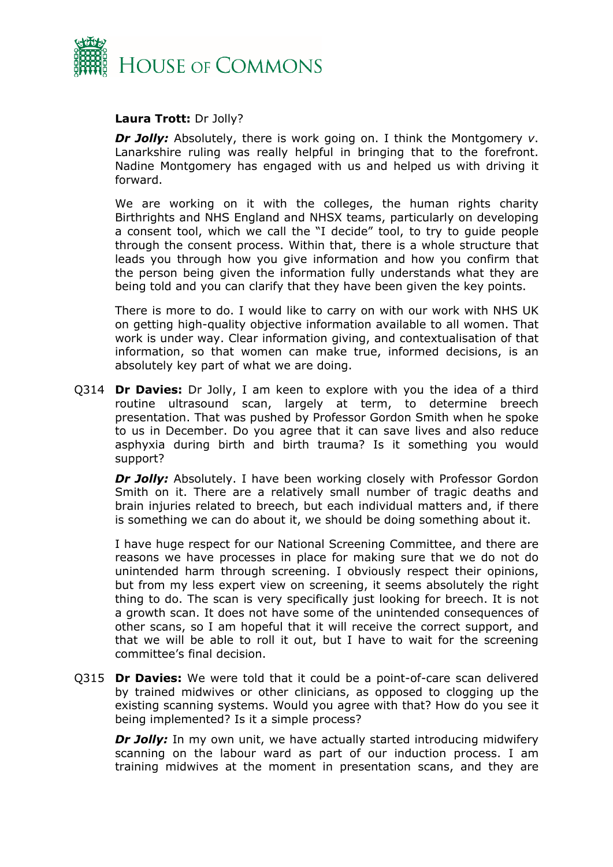

## **Laura Trott:** Dr Jolly?

*Dr Jolly:* Absolutely, there is work going on. I think the Montgomery *v*. Lanarkshire ruling was really helpful in bringing that to the forefront. Nadine Montgomery has engaged with us and helped us with driving it forward.

We are working on it with the colleges, the human rights charity Birthrights and NHS England and NHSX teams, particularly on developing a consent tool, which we call the "I decide" tool, to try to guide people through the consent process. Within that, there is a whole structure that leads you through how you give information and how you confirm that the person being given the information fully understands what they are being told and you can clarify that they have been given the key points.

There is more to do. I would like to carry on with our work with NHS UK on getting high-quality objective information available to all women. That work is under way. Clear information giving, and contextualisation of that information, so that women can make true, informed decisions, is an absolutely key part of what we are doing.

Q314 **Dr Davies:** Dr Jolly, I am keen to explore with you the idea of a third routine ultrasound scan, largely at term, to determine breech presentation. That was pushed by Professor Gordon Smith when he spoke to us in December. Do you agree that it can save lives and also reduce asphyxia during birth and birth trauma? Is it something you would support?

**Dr Jolly:** Absolutely. I have been working closely with Professor Gordon Smith on it. There are a relatively small number of tragic deaths and brain injuries related to breech, but each individual matters and, if there is something we can do about it, we should be doing something about it.

I have huge respect for our National Screening Committee, and there are reasons we have processes in place for making sure that we do not do unintended harm through screening. I obviously respect their opinions, but from my less expert view on screening, it seems absolutely the right thing to do. The scan is very specifically just looking for breech. It is not a growth scan. It does not have some of the unintended consequences of other scans, so I am hopeful that it will receive the correct support, and that we will be able to roll it out, but I have to wait for the screening committee's final decision.

Q315 **Dr Davies:** We were told that it could be a point-of-care scan delivered by trained midwives or other clinicians, as opposed to clogging up the existing scanning systems. Would you agree with that? How do you see it being implemented? Is it a simple process?

*Dr Jolly:* In my own unit, we have actually started introducing midwifery scanning on the labour ward as part of our induction process. I am training midwives at the moment in presentation scans, and they are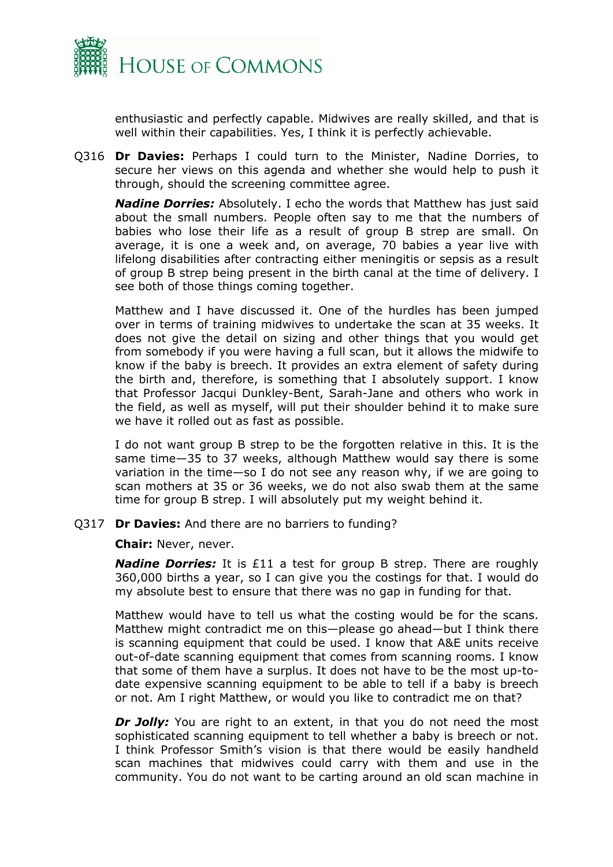

enthusiastic and perfectly capable. Midwives are really skilled, and that is well within their capabilities. Yes, I think it is perfectly achievable.

Q316 **Dr Davies:** Perhaps I could turn to the Minister, Nadine Dorries, to secure her views on this agenda and whether she would help to push it through, should the screening committee agree.

*Nadine Dorries:* Absolutely. I echo the words that Matthew has just said about the small numbers. People often say to me that the numbers of babies who lose their life as a result of group B strep are small. On average, it is one a week and, on average, 70 babies a year live with lifelong disabilities after contracting either meningitis or sepsis as a result of group B strep being present in the birth canal at the time of delivery. I see both of those things coming together.

Matthew and I have discussed it. One of the hurdles has been jumped over in terms of training midwives to undertake the scan at 35 weeks. It does not give the detail on sizing and other things that you would get from somebody if you were having a full scan, but it allows the midwife to know if the baby is breech. It provides an extra element of safety during the birth and, therefore, is something that I absolutely support. I know that Professor Jacqui Dunkley-Bent, Sarah-Jane and others who work in the field, as well as myself, will put their shoulder behind it to make sure we have it rolled out as fast as possible.

I do not want group B strep to be the forgotten relative in this. It is the same time—35 to 37 weeks, although Matthew would say there is some variation in the time—so I do not see any reason why, if we are going to scan mothers at 35 or 36 weeks, we do not also swab them at the same time for group B strep. I will absolutely put my weight behind it.

Q317 **Dr Davies:** And there are no barriers to funding?

**Chair:** Never, never.

*Nadine Dorries:* It is £11 a test for group B strep. There are roughly 360,000 births a year, so I can give you the costings for that. I would do my absolute best to ensure that there was no gap in funding for that.

Matthew would have to tell us what the costing would be for the scans. Matthew might contradict me on this—please go ahead—but I think there is scanning equipment that could be used. I know that A&E units receive out-of-date scanning equipment that comes from scanning rooms. I know that some of them have a surplus. It does not have to be the most up-todate expensive scanning equipment to be able to tell if a baby is breech or not. Am I right Matthew, or would you like to contradict me on that?

**Dr Jolly:** You are right to an extent, in that you do not need the most sophisticated scanning equipment to tell whether a baby is breech or not. I think Professor Smith's vision is that there would be easily handheld scan machines that midwives could carry with them and use in the community. You do not want to be carting around an old scan machine in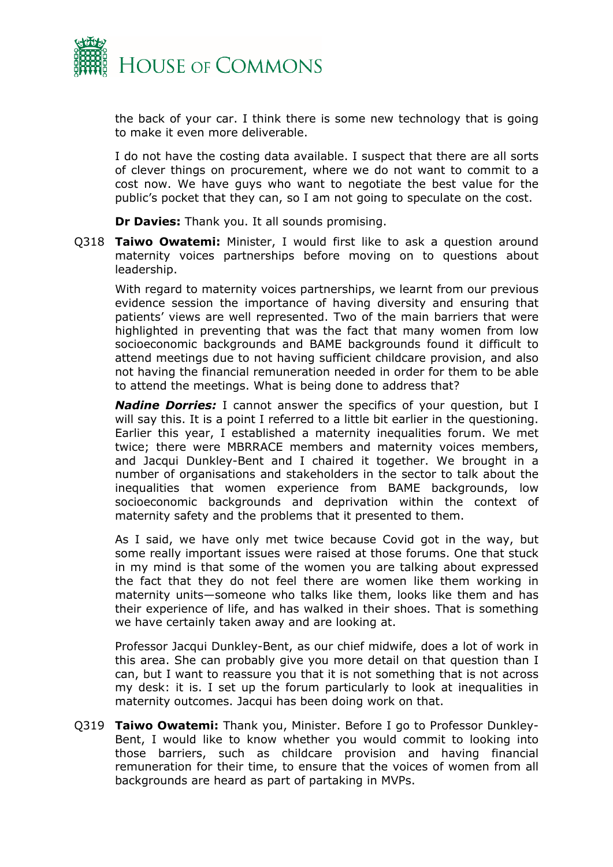

the back of your car. I think there is some new technology that is going to make it even more deliverable.

I do not have the costing data available. I suspect that there are all sorts of clever things on procurement, where we do not want to commit to a cost now. We have guys who want to negotiate the best value for the public's pocket that they can, so I am not going to speculate on the cost.

**Dr Davies:** Thank you. It all sounds promising.

Q318 **Taiwo Owatemi:** Minister, I would first like to ask a question around maternity voices partnerships before moving on to questions about leadership.

With regard to maternity voices partnerships, we learnt from our previous evidence session the importance of having diversity and ensuring that patients' views are well represented. Two of the main barriers that were highlighted in preventing that was the fact that many women from low socioeconomic backgrounds and BAME backgrounds found it difficult to attend meetings due to not having sufficient childcare provision, and also not having the financial remuneration needed in order for them to be able to attend the meetings. What is being done to address that?

*Nadine Dorries:* I cannot answer the specifics of your question, but I will say this. It is a point I referred to a little bit earlier in the questioning. Earlier this year, I established a maternity inequalities forum. We met twice; there were MBRRACE members and maternity voices members, and Jacqui Dunkley-Bent and I chaired it together. We brought in a number of organisations and stakeholders in the sector to talk about the inequalities that women experience from BAME backgrounds, low socioeconomic backgrounds and deprivation within the context of maternity safety and the problems that it presented to them.

As I said, we have only met twice because Covid got in the way, but some really important issues were raised at those forums. One that stuck in my mind is that some of the women you are talking about expressed the fact that they do not feel there are women like them working in maternity units—someone who talks like them, looks like them and has their experience of life, and has walked in their shoes. That is something we have certainly taken away and are looking at.

Professor Jacqui Dunkley-Bent, as our chief midwife, does a lot of work in this area. She can probably give you more detail on that question than I can, but I want to reassure you that it is not something that is not across my desk: it is. I set up the forum particularly to look at inequalities in maternity outcomes. Jacqui has been doing work on that.

Q319 **Taiwo Owatemi:** Thank you, Minister. Before I go to Professor Dunkley-Bent, I would like to know whether you would commit to looking into those barriers, such as childcare provision and having financial remuneration for their time, to ensure that the voices of women from all backgrounds are heard as part of partaking in MVPs.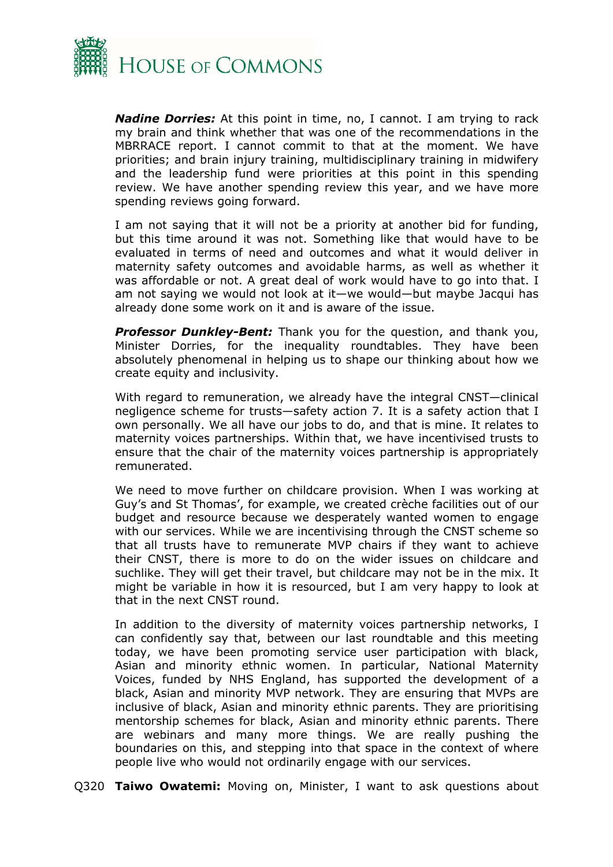

*Nadine Dorries:* At this point in time, no, I cannot. I am trying to rack my brain and think whether that was one of the recommendations in the MBRRACE report. I cannot commit to that at the moment. We have priorities; and brain injury training, multidisciplinary training in midwifery and the leadership fund were priorities at this point in this spending review. We have another spending review this year, and we have more spending reviews going forward.

I am not saying that it will not be a priority at another bid for funding, but this time around it was not. Something like that would have to be evaluated in terms of need and outcomes and what it would deliver in maternity safety outcomes and avoidable harms, as well as whether it was affordable or not. A great deal of work would have to go into that. I am not saying we would not look at it—we would—but maybe Jacqui has already done some work on it and is aware of the issue.

*Professor Dunkley-Bent:* Thank you for the question, and thank you, Minister Dorries, for the inequality roundtables. They have been absolutely phenomenal in helping us to shape our thinking about how we create equity and inclusivity.

With regard to remuneration, we already have the integral CNST—clinical negligence scheme for trusts—safety action 7. It is a safety action that I own personally. We all have our jobs to do, and that is mine. It relates to maternity voices partnerships. Within that, we have incentivised trusts to ensure that the chair of the maternity voices partnership is appropriately remunerated.

We need to move further on childcare provision. When I was working at Guy's and St Thomas', for example, we created crèche facilities out of our budget and resource because we desperately wanted women to engage with our services. While we are incentivising through the CNST scheme so that all trusts have to remunerate MVP chairs if they want to achieve their CNST, there is more to do on the wider issues on childcare and suchlike. They will get their travel, but childcare may not be in the mix. It might be variable in how it is resourced, but I am very happy to look at that in the next CNST round.

In addition to the diversity of maternity voices partnership networks, I can confidently say that, between our last roundtable and this meeting today, we have been promoting service user participation with black, Asian and minority ethnic women. In particular, National Maternity Voices, funded by NHS England, has supported the development of a black, Asian and minority MVP network. They are ensuring that MVPs are inclusive of black, Asian and minority ethnic parents. They are prioritising mentorship schemes for black, Asian and minority ethnic parents. There are webinars and many more things. We are really pushing the boundaries on this, and stepping into that space in the context of where people live who would not ordinarily engage with our services.

Q320 **Taiwo Owatemi:** Moving on, Minister, I want to ask questions about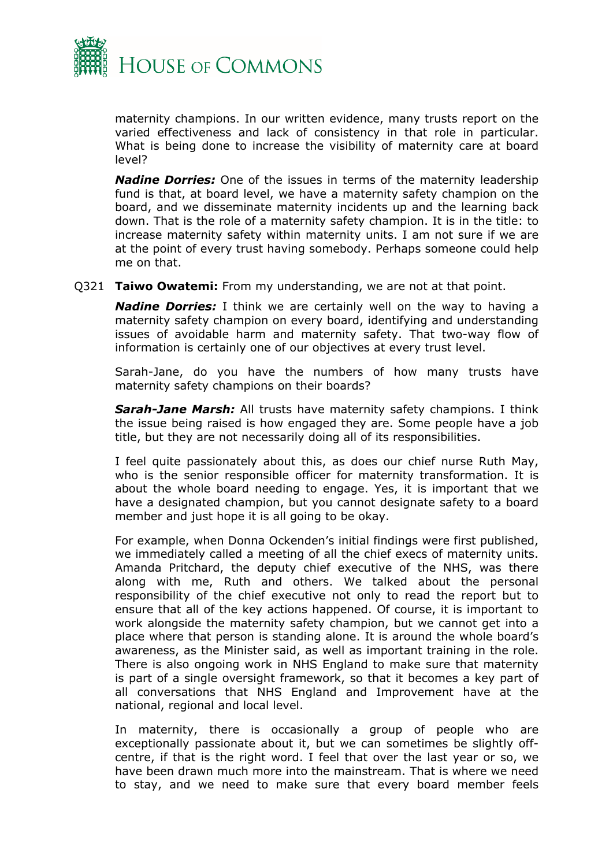

maternity champions. In our written evidence, many trusts report on the varied effectiveness and lack of consistency in that role in particular. What is being done to increase the visibility of maternity care at board level?

*Nadine Dorries:* One of the issues in terms of the maternity leadership fund is that, at board level, we have a maternity safety champion on the board, and we disseminate maternity incidents up and the learning back down. That is the role of a maternity safety champion. It is in the title: to increase maternity safety within maternity units. I am not sure if we are at the point of every trust having somebody. Perhaps someone could help me on that.

Q321 **Taiwo Owatemi:** From my understanding, we are not at that point.

*Nadine Dorries:* I think we are certainly well on the way to having a maternity safety champion on every board, identifying and understanding issues of avoidable harm and maternity safety. That two-way flow of information is certainly one of our objectives at every trust level.

Sarah-Jane, do you have the numbers of how many trusts have maternity safety champions on their boards?

*Sarah-Jane Marsh:* All trusts have maternity safety champions. I think the issue being raised is how engaged they are. Some people have a job title, but they are not necessarily doing all of its responsibilities.

I feel quite passionately about this, as does our chief nurse Ruth May, who is the senior responsible officer for maternity transformation. It is about the whole board needing to engage. Yes, it is important that we have a designated champion, but you cannot designate safety to a board member and just hope it is all going to be okay.

For example, when Donna Ockenden's initial findings were first published, we immediately called a meeting of all the chief execs of maternity units. Amanda Pritchard, the deputy chief executive of the NHS, was there along with me, Ruth and others. We talked about the personal responsibility of the chief executive not only to read the report but to ensure that all of the key actions happened. Of course, it is important to work alongside the maternity safety champion, but we cannot get into a place where that person is standing alone. It is around the whole board's awareness, as the Minister said, as well as important training in the role. There is also ongoing work in NHS England to make sure that maternity is part of a single oversight framework, so that it becomes a key part of all conversations that NHS England and Improvement have at the national, regional and local level.

In maternity, there is occasionally a group of people who are exceptionally passionate about it, but we can sometimes be slightly offcentre, if that is the right word. I feel that over the last year or so, we have been drawn much more into the mainstream. That is where we need to stay, and we need to make sure that every board member feels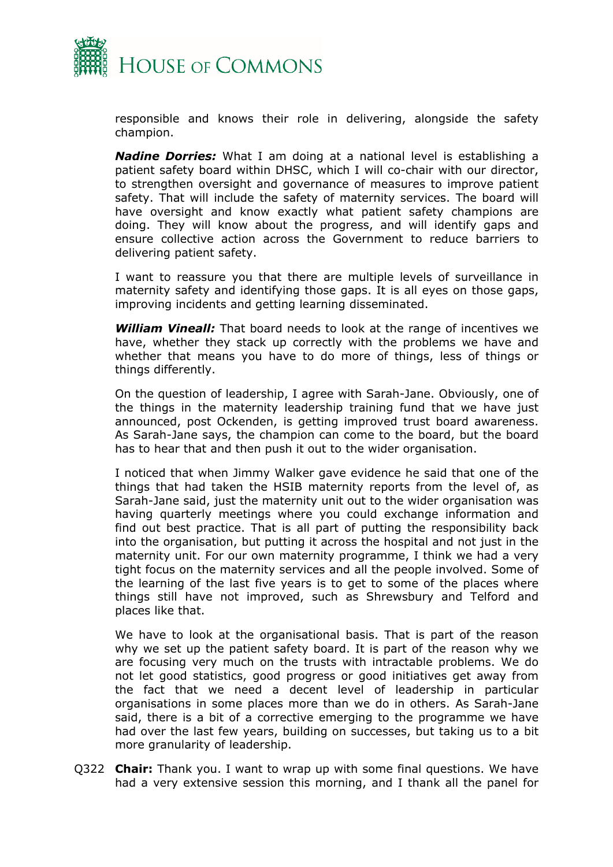

responsible and knows their role in delivering, alongside the safety champion.

*Nadine Dorries:* What I am doing at a national level is establishing a patient safety board within DHSC, which I will co-chair with our director, to strengthen oversight and governance of measures to improve patient safety. That will include the safety of maternity services. The board will have oversight and know exactly what patient safety champions are doing. They will know about the progress, and will identify gaps and ensure collective action across the Government to reduce barriers to delivering patient safety.

I want to reassure you that there are multiple levels of surveillance in maternity safety and identifying those gaps. It is all eyes on those gaps, improving incidents and getting learning disseminated.

*William Vineall:* That board needs to look at the range of incentives we have, whether they stack up correctly with the problems we have and whether that means you have to do more of things, less of things or things differently.

On the question of leadership, I agree with Sarah-Jane. Obviously, one of the things in the maternity leadership training fund that we have just announced, post Ockenden, is getting improved trust board awareness. As Sarah-Jane says, the champion can come to the board, but the board has to hear that and then push it out to the wider organisation.

I noticed that when Jimmy Walker gave evidence he said that one of the things that had taken the HSIB maternity reports from the level of, as Sarah-Jane said, just the maternity unit out to the wider organisation was having quarterly meetings where you could exchange information and find out best practice. That is all part of putting the responsibility back into the organisation, but putting it across the hospital and not just in the maternity unit. For our own maternity programme, I think we had a very tight focus on the maternity services and all the people involved. Some of the learning of the last five years is to get to some of the places where things still have not improved, such as Shrewsbury and Telford and places like that.

We have to look at the organisational basis. That is part of the reason why we set up the patient safety board. It is part of the reason why we are focusing very much on the trusts with intractable problems. We do not let good statistics, good progress or good initiatives get away from the fact that we need a decent level of leadership in particular organisations in some places more than we do in others. As Sarah-Jane said, there is a bit of a corrective emerging to the programme we have had over the last few years, building on successes, but taking us to a bit more granularity of leadership.

Q322 **Chair:** Thank you. I want to wrap up with some final questions. We have had a very extensive session this morning, and I thank all the panel for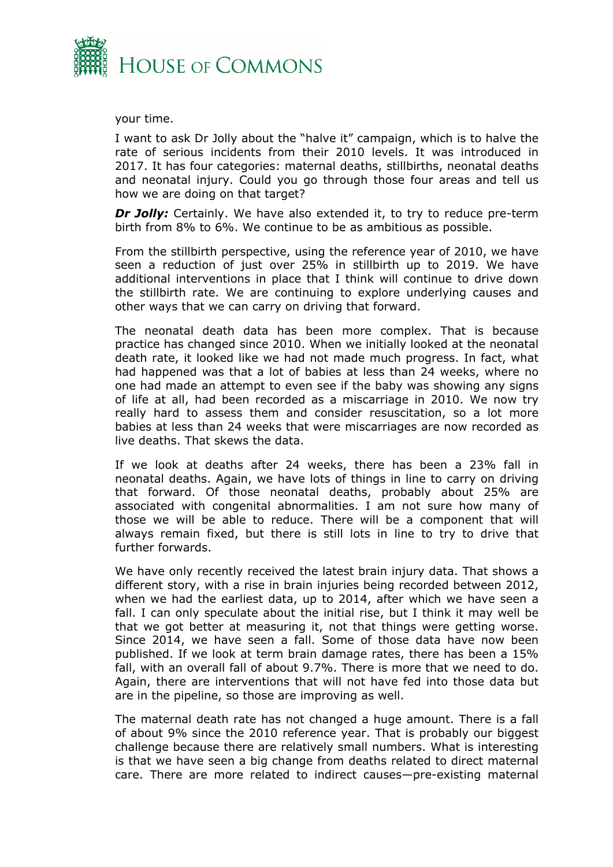

your time.

I want to ask Dr Jolly about the "halve it" campaign, which is to halve the rate of serious incidents from their 2010 levels. It was introduced in 2017. It has four categories: maternal deaths, stillbirths, neonatal deaths and neonatal injury. Could you go through those four areas and tell us how we are doing on that target?

*Dr Jolly:* Certainly. We have also extended it, to try to reduce pre-term birth from 8% to 6%. We continue to be as ambitious as possible.

From the stillbirth perspective, using the reference year of 2010, we have seen a reduction of just over 25% in stillbirth up to 2019. We have additional interventions in place that I think will continue to drive down the stillbirth rate. We are continuing to explore underlying causes and other ways that we can carry on driving that forward.

The neonatal death data has been more complex. That is because practice has changed since 2010. When we initially looked at the neonatal death rate, it looked like we had not made much progress. In fact, what had happened was that a lot of babies at less than 24 weeks, where no one had made an attempt to even see if the baby was showing any signs of life at all, had been recorded as a miscarriage in 2010. We now try really hard to assess them and consider resuscitation, so a lot more babies at less than 24 weeks that were miscarriages are now recorded as live deaths. That skews the data.

If we look at deaths after 24 weeks, there has been a 23% fall in neonatal deaths. Again, we have lots of things in line to carry on driving that forward. Of those neonatal deaths, probably about 25% are associated with congenital abnormalities. I am not sure how many of those we will be able to reduce. There will be a component that will always remain fixed, but there is still lots in line to try to drive that further forwards.

We have only recently received the latest brain injury data. That shows a different story, with a rise in brain injuries being recorded between 2012, when we had the earliest data, up to 2014, after which we have seen a fall. I can only speculate about the initial rise, but I think it may well be that we got better at measuring it, not that things were getting worse. Since 2014, we have seen a fall. Some of those data have now been published. If we look at term brain damage rates, there has been a 15% fall, with an overall fall of about 9.7%. There is more that we need to do. Again, there are interventions that will not have fed into those data but are in the pipeline, so those are improving as well.

The maternal death rate has not changed a huge amount. There is a fall of about 9% since the 2010 reference year. That is probably our biggest challenge because there are relatively small numbers. What is interesting is that we have seen a big change from deaths related to direct maternal care. There are more related to indirect causes—pre-existing maternal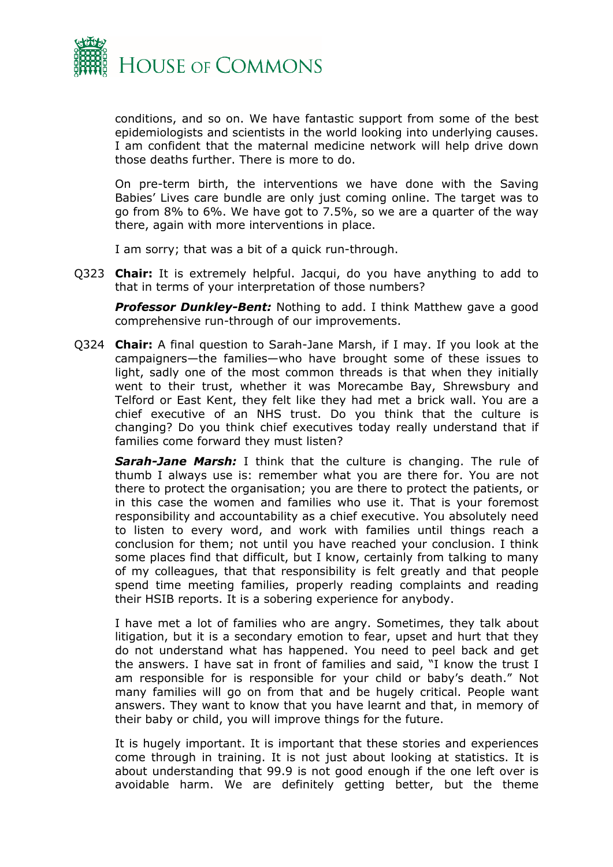

conditions, and so on. We have fantastic support from some of the best epidemiologists and scientists in the world looking into underlying causes. I am confident that the maternal medicine network will help drive down those deaths further. There is more to do.

On pre-term birth, the interventions we have done with the Saving Babies' Lives care bundle are only just coming online. The target was to go from 8% to 6%. We have got to 7.5%, so we are a quarter of the way there, again with more interventions in place.

I am sorry; that was a bit of a quick run-through.

Q323 **Chair:** It is extremely helpful. Jacqui, do you have anything to add to that in terms of your interpretation of those numbers?

**Professor Dunkley-Bent:** Nothing to add. I think Matthew gave a good comprehensive run-through of our improvements.

Q324 **Chair:** A final question to Sarah-Jane Marsh, if I may. If you look at the campaigners—the families—who have brought some of these issues to light, sadly one of the most common threads is that when they initially went to their trust, whether it was Morecambe Bay, Shrewsbury and Telford or East Kent, they felt like they had met a brick wall. You are a chief executive of an NHS trust. Do you think that the culture is changing? Do you think chief executives today really understand that if families come forward they must listen?

*Sarah-Jane Marsh:* I think that the culture is changing. The rule of thumb I always use is: remember what you are there for. You are not there to protect the organisation; you are there to protect the patients, or in this case the women and families who use it. That is your foremost responsibility and accountability as a chief executive. You absolutely need to listen to every word, and work with families until things reach a conclusion for them; not until you have reached your conclusion. I think some places find that difficult, but I know, certainly from talking to many of my colleagues, that that responsibility is felt greatly and that people spend time meeting families, properly reading complaints and reading their HSIB reports. It is a sobering experience for anybody.

I have met a lot of families who are angry. Sometimes, they talk about litigation, but it is a secondary emotion to fear, upset and hurt that they do not understand what has happened. You need to peel back and get the answers. I have sat in front of families and said, "I know the trust I am responsible for is responsible for your child or baby's death." Not many families will go on from that and be hugely critical. People want answers. They want to know that you have learnt and that, in memory of their baby or child, you will improve things for the future.

It is hugely important. It is important that these stories and experiences come through in training. It is not just about looking at statistics. It is about understanding that 99.9 is not good enough if the one left over is avoidable harm. We are definitely getting better, but the theme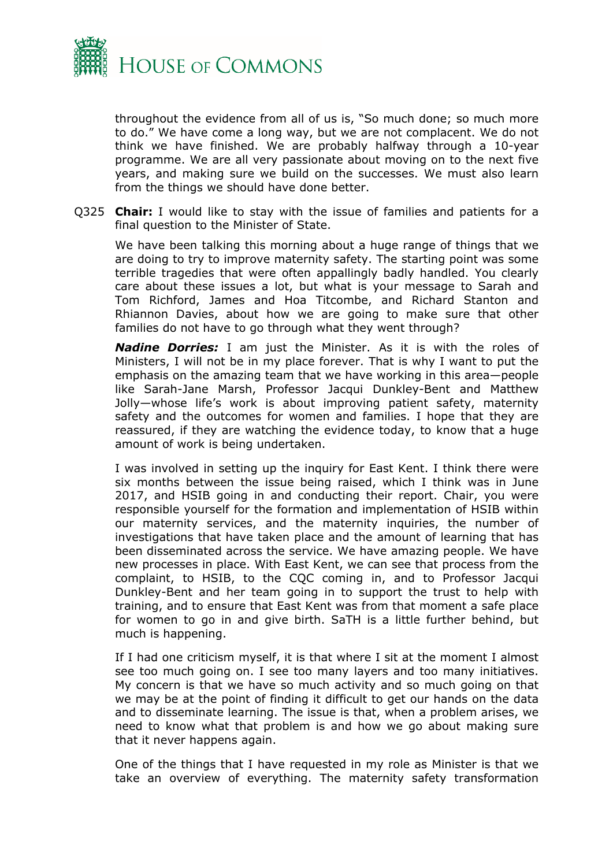

throughout the evidence from all of us is, "So much done; so much more to do." We have come a long way, but we are not complacent. We do not think we have finished. We are probably halfway through a 10-year programme. We are all very passionate about moving on to the next five years, and making sure we build on the successes. We must also learn from the things we should have done better.

Q325 **Chair:** I would like to stay with the issue of families and patients for a final question to the Minister of State.

We have been talking this morning about a huge range of things that we are doing to try to improve maternity safety. The starting point was some terrible tragedies that were often appallingly badly handled. You clearly care about these issues a lot, but what is your message to Sarah and Tom Richford, James and Hoa Titcombe, and Richard Stanton and Rhiannon Davies, about how we are going to make sure that other families do not have to go through what they went through?

*Nadine Dorries:* I am just the Minister. As it is with the roles of Ministers, I will not be in my place forever. That is why I want to put the emphasis on the amazing team that we have working in this area—people like Sarah-Jane Marsh, Professor Jacqui Dunkley-Bent and Matthew Jolly—whose life's work is about improving patient safety, maternity safety and the outcomes for women and families. I hope that they are reassured, if they are watching the evidence today, to know that a huge amount of work is being undertaken.

I was involved in setting up the inquiry for East Kent. I think there were six months between the issue being raised, which I think was in June 2017, and HSIB going in and conducting their report. Chair, you were responsible yourself for the formation and implementation of HSIB within our maternity services, and the maternity inquiries, the number of investigations that have taken place and the amount of learning that has been disseminated across the service. We have amazing people. We have new processes in place. With East Kent, we can see that process from the complaint, to HSIB, to the CQC coming in, and to Professor Jacqui Dunkley-Bent and her team going in to support the trust to help with training, and to ensure that East Kent was from that moment a safe place for women to go in and give birth. SaTH is a little further behind, but much is happening.

If I had one criticism myself, it is that where I sit at the moment I almost see too much going on. I see too many layers and too many initiatives. My concern is that we have so much activity and so much going on that we may be at the point of finding it difficult to get our hands on the data and to disseminate learning. The issue is that, when a problem arises, we need to know what that problem is and how we go about making sure that it never happens again.

One of the things that I have requested in my role as Minister is that we take an overview of everything. The maternity safety transformation